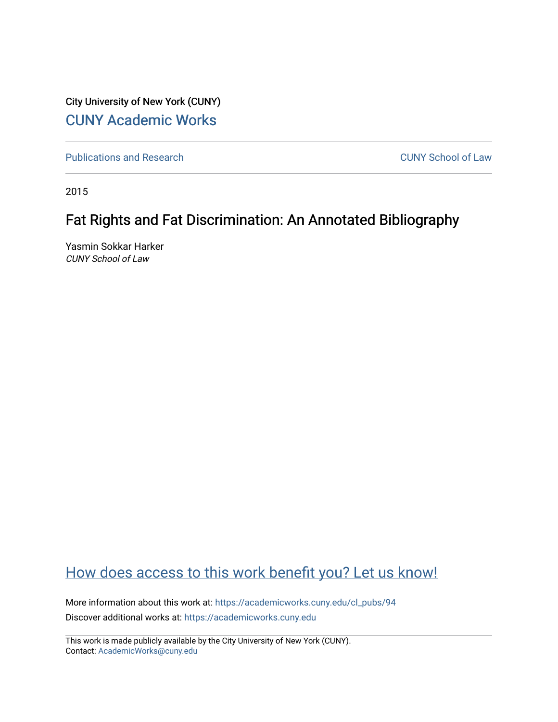City University of New York (CUNY) [CUNY Academic Works](https://academicworks.cuny.edu/) 

[Publications and Research](https://academicworks.cuny.edu/cl_pubs) [CUNY School of Law](https://academicworks.cuny.edu/cl) 

2015

# Fat Rights and Fat Discrimination: An Annotated Bibliography

Yasmin Sokkar Harker CUNY School of Law

### [How does access to this work benefit you? Let us know!](http://ols.cuny.edu/academicworks/?ref=https://academicworks.cuny.edu/cl_pubs/94)

More information about this work at: [https://academicworks.cuny.edu/cl\\_pubs/94](https://academicworks.cuny.edu/cl_pubs/94)  Discover additional works at: [https://academicworks.cuny.edu](https://academicworks.cuny.edu/?)

This work is made publicly available by the City University of New York (CUNY). Contact: [AcademicWorks@cuny.edu](mailto:AcademicWorks@cuny.edu)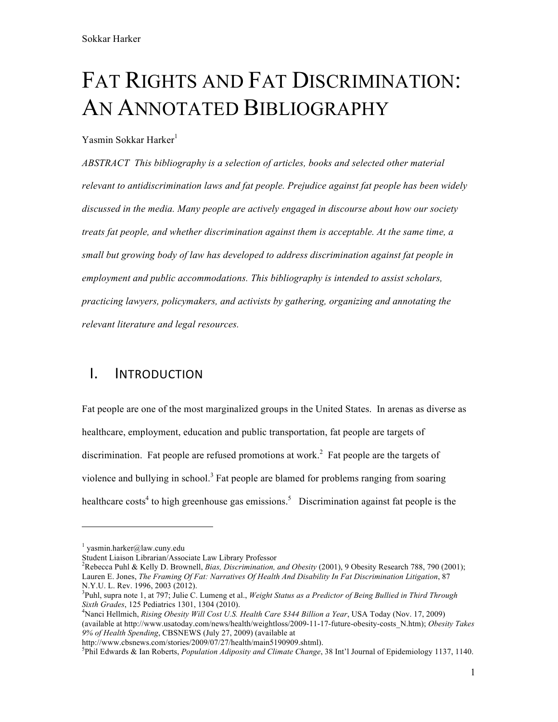# FAT RIGHTS AND FAT DISCRIMINATION: AN ANNOTATED BIBLIOGRAPHY

Yasmin Sokkar Harker<sup>1</sup>

*ABSTRACT This bibliography is a selection of articles, books and selected other material relevant to antidiscrimination laws and fat people. Prejudice against fat people has been widely discussed in the media. Many people are actively engaged in discourse about how our society treats fat people, and whether discrimination against them is acceptable. At the same time, a small but growing body of law has developed to address discrimination against fat people in employment and public accommodations. This bibliography is intended to assist scholars, practicing lawyers, policymakers, and activists by gathering, organizing and annotating the relevant literature and legal resources.*

### I. INTRODUCTION

Fat people are one of the most marginalized groups in the United States. In arenas as diverse as healthcare, employment, education and public transportation, fat people are targets of discrimination. Fat people are refused promotions at work.<sup>2</sup> Fat people are the targets of violence and bullying in school.<sup>3</sup> Fat people are blamed for problems ranging from soaring healthcare costs<sup>4</sup> to high greenhouse gas emissions.<sup>5</sup> Discrimination against fat people is the

<sup>&</sup>lt;sup>1</sup> yasmin.harker@law.cuny.edu

Student Liaison Librarian/Associate Law Library Professor <sup>2</sup>

Rebecca Puhl & Kelly D. Brownell, *Bias, Discrimination, and Obesity* (2001), 9 Obesity Research 788, 790 (2001); Lauren E. Jones, *The Framing Of Fat: Narratives Of Health And Disability In Fat Discrimination Litigation*, 87 N.Y.U. L. Rev. 1996, 2003 (2012). 3

Puhl, supra note 1, at 797; Julie C. Lumeng et al., *Weight Status as a Predictor of Being Bullied in Third Through Sixth Grades*, 125 Pediatrics 1301, 1304 (2010).

Nanci Hellmich, *Rising Obesity Will Cost U.S. Health Care \$344 Billion a Year*, USA Today (Nov. 17, 2009) (available at http://www.usatoday.com/news/health/weightloss/2009-11-17-future-obesity-costs\_N.htm); *Obesity Takes 9% of Health Spending*, CBSNEWS (July 27, 2009) (available at

http://www.cbsnews.com/stories/2009/07/27/health/main5190909.shtml).

Phil Edwards & Ian Roberts, *Population Adiposity and Climate Change*, 38 Int'l Journal of Epidemiology 1137, 1140.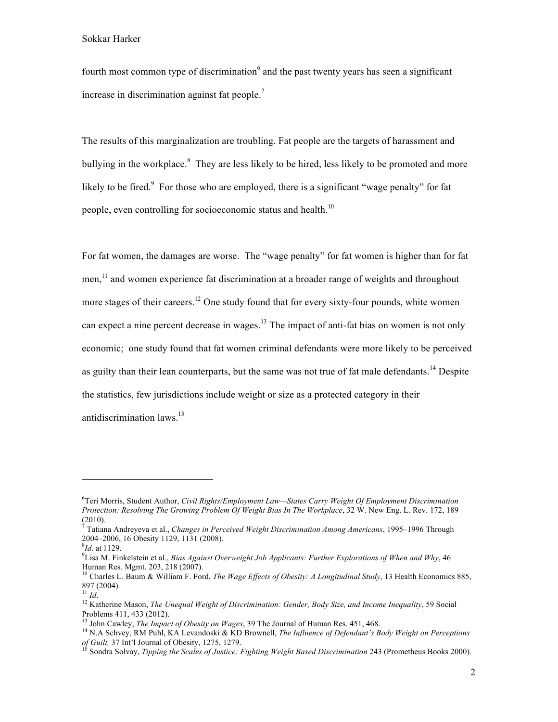fourth most common type of discrimination $<sup>6</sup>$  and the past twenty years has seen a significant</sup> increase in discrimination against fat people.<sup>7</sup>

The results of this marginalization are troubling. Fat people are the targets of harassment and bullying in the workplace.<sup>8</sup> They are less likely to be hired, less likely to be promoted and more likely to be fired.<sup>9</sup> For those who are employed, there is a significant "wage penalty" for fat people, even controlling for socioeconomic status and health.<sup>10</sup>

For fat women, the damages are worse. The "wage penalty" for fat women is higher than for fat men,<sup>11</sup> and women experience fat discrimination at a broader range of weights and throughout more stages of their careers.<sup>12</sup> One study found that for every sixty-four pounds, white women can expect a nine percent decrease in wages.<sup>13</sup> The impact of anti-fat bias on women is not only economic; one study found that fat women criminal defendants were more likely to be perceived as guilty than their lean counterparts, but the same was not true of fat male defendants.<sup>14</sup> Despite the statistics, few jurisdictions include weight or size as a protected category in their antidiscrimination laws. 15

<sup>6</sup> Teri Morris, Student Author, *Civil Rights/Employment Law—States Carry Weight Of Employment Discrimination Protection: Resolving The Growing Problem Of Weight Bias In The Workplace*, 32 W. New Eng. L. Rev. 172, 189 (2010).

<sup>7</sup> Tatiana Andreyeva et al., *Changes in Perceived Weight Discrimination Among Americans*, 1995–1996 Through 2004–2006, 16 Obesity 1129, 1131 (2008). <sup>8</sup>

<sup>&</sup>lt;sup>8</sup>*Id*. at 1129.

Lisa M. Finkelstein et al., *Bias Against Overweight Job Applicants: Further Explorations of When and Why*, 46 Human Res. Mgmt. 203, 218 (2007).

<sup>10</sup> Charles L. Baum & William F. Ford, *The Wage Effects of Obesity: A Longitudinal Study*, 13 Health Economics 885,  $897 (2004).$ <sup>11</sup> *Id.* 

<sup>&</sup>lt;sup>12</sup> Katherine Mason, *The Unequal Weight of Discrimination: Gender, Body Size, and Income Inequality*, 59 Social Problems 411, 433 (2012).<br><sup>13</sup> John Cawley, *The Impact of Obesity on Wages*, 39 The Journal of Human Res. 451, 468.

<sup>&</sup>lt;sup>14</sup> N.A Schvey, *RM Puhl, KA Levandoski & KD Brownell, <i>The Influence of Defendant's Body Weight on Perceptions* of *Guilt*, 37 Int'l Journal of Obesity, 1275, 1279.

*of Guilt,* 37 Int'l Journal of Obesity, 1275, 1279. <sup>15</sup> Sondra Solvay, *Tipping the Scales of Justice: Fighting Weight Based Discrimination* 243 (Prometheus Books 2000).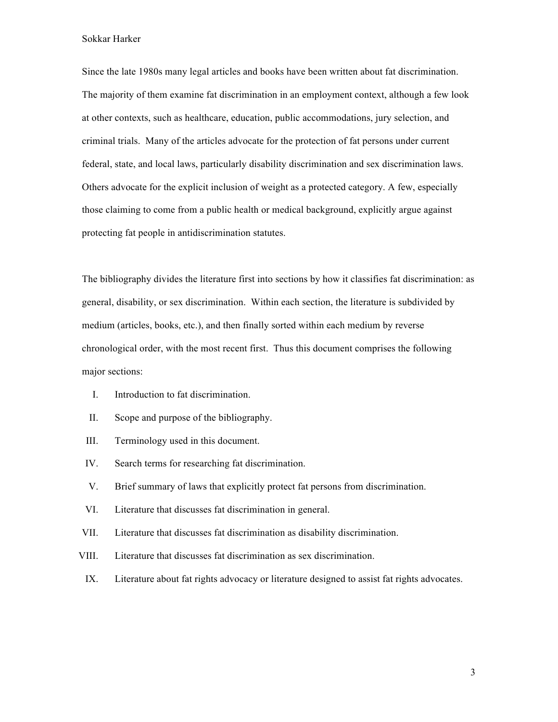Since the late 1980s many legal articles and books have been written about fat discrimination. The majority of them examine fat discrimination in an employment context, although a few look at other contexts, such as healthcare, education, public accommodations, jury selection, and criminal trials. Many of the articles advocate for the protection of fat persons under current federal, state, and local laws, particularly disability discrimination and sex discrimination laws. Others advocate for the explicit inclusion of weight as a protected category. A few, especially those claiming to come from a public health or medical background, explicitly argue against protecting fat people in antidiscrimination statutes.

The bibliography divides the literature first into sections by how it classifies fat discrimination: as general, disability, or sex discrimination. Within each section, the literature is subdivided by medium (articles, books, etc.), and then finally sorted within each medium by reverse chronological order, with the most recent first. Thus this document comprises the following major sections:

- I. Introduction to fat discrimination.
- II. Scope and purpose of the bibliography.
- III. Terminology used in this document.
- IV. Search terms for researching fat discrimination.
- V. Brief summary of laws that explicitly protect fat persons from discrimination.
- VI. Literature that discusses fat discrimination in general.
- VII. Literature that discusses fat discrimination as disability discrimination.
- VIII. Literature that discusses fat discrimination as sex discrimination.
- IX. Literature about fat rights advocacy or literature designed to assist fat rights advocates.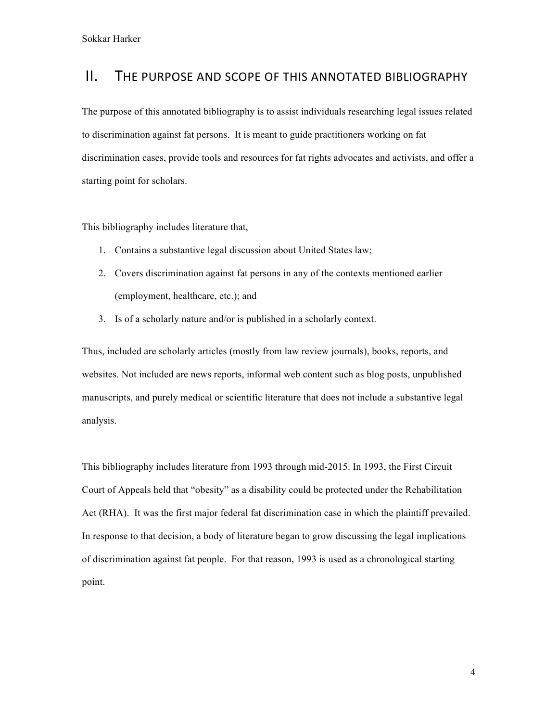### II. THE PURPOSE AND SCOPE OF THIS ANNOTATED BIBLIOGRAPHY

The purpose of this annotated bibliography is to assist individuals researching legal issues related to discrimination against fat persons. It is meant to guide practitioners working on fat discrimination cases, provide tools and resources for fat rights advocates and activists, and offer a starting point for scholars.

This bibliography includes literature that,

- 1. Contains a substantive legal discussion about United States law;
- 2. Covers discrimination against fat persons in any of the contexts mentioned earlier (employment, healthcare, etc.); and
- 3. Is of a scholarly nature and/or is published in a scholarly context.

Thus, included are scholarly articles (mostly from law review journals), books, reports, and websites. Not included are news reports, informal web content such as blog posts, unpublished manuscripts, and purely medical or scientific literature that does not include a substantive legal analysis.

This bibliography includes literature from 1993 through mid-2015. In 1993, the First Circuit Court of Appeals held that "obesity" as a disability could be protected under the Rehabilitation Act (RHA). It was the first major federal fat discrimination case in which the plaintiff prevailed. In response to that decision, a body of literature began to grow discussing the legal implications of discrimination against fat people. For that reason, 1993 is used as a chronological starting point.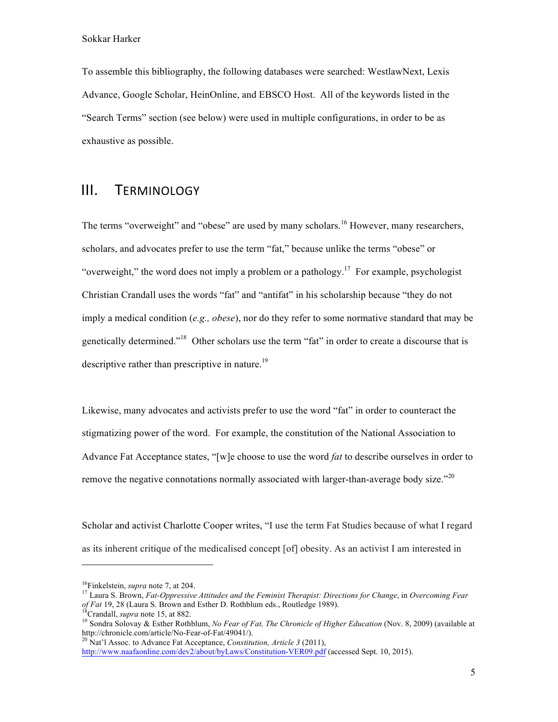To assemble this bibliography, the following databases were searched: WestlawNext, Lexis Advance, Google Scholar, HeinOnline, and EBSCO Host. All of the keywords listed in the "Search Terms" section (see below) were used in multiple configurations, in order to be as exhaustive as possible.

### III. TERMINOLOGY

The terms "overweight" and "obese" are used by many scholars.<sup>16</sup> However, many researchers, scholars, and advocates prefer to use the term "fat," because unlike the terms "obese" or "overweight," the word does not imply a problem or a pathology.<sup>17</sup> For example, psychologist Christian Crandall uses the words "fat" and "antifat" in his scholarship because "they do not imply a medical condition (*e.g., obese*), nor do they refer to some normative standard that may be genetically determined."18 Other scholars use the term "fat" in order to create a discourse that is descriptive rather than prescriptive in nature.<sup>19</sup>

Likewise, many advocates and activists prefer to use the word "fat" in order to counteract the stigmatizing power of the word. For example, the constitution of the National Association to Advance Fat Acceptance states, "[w]e choose to use the word *fat* to describe ourselves in order to remove the negative connotations normally associated with larger-than-average body size."<sup>20</sup>

Scholar and activist Charlotte Cooper writes, "I use the term Fat Studies because of what I regard as its inherent critique of the medicalised concept [of] obesity. As an activist I am interested in

<sup>&</sup>lt;sup>16</sup>Finkelstein, *supra* note 7, at 204.<br><sup>17</sup> Laura S. Brown, *Fat-Oppressive Attitudes and the Feminist Therapist: Directions for Change*, in *Overcoming Fear* of Fat 19, 28 (Laura S. Brown and Esther D. Rothblum eds., Routledge 1989).<br><sup>18</sup>Crandall, *supra* note 15, at 882.<br><sup>19</sup> Sondra Solovay & Esther Rothblum, *No Fear of Fat, The Chronicle of Higher Education* (Nov. 8, 2009) (

http://chronicle.com/article/No-Fear-of-Fat/49041/). <sup>20</sup> Nat'l Assoc. to Advance Fat Acceptance, *Constitution, Article 3* (2011),

http://www.naafaonline.com/dev2/about/byLaws/Constitution-VER09.pdf (accessed Sept. 10, 2015).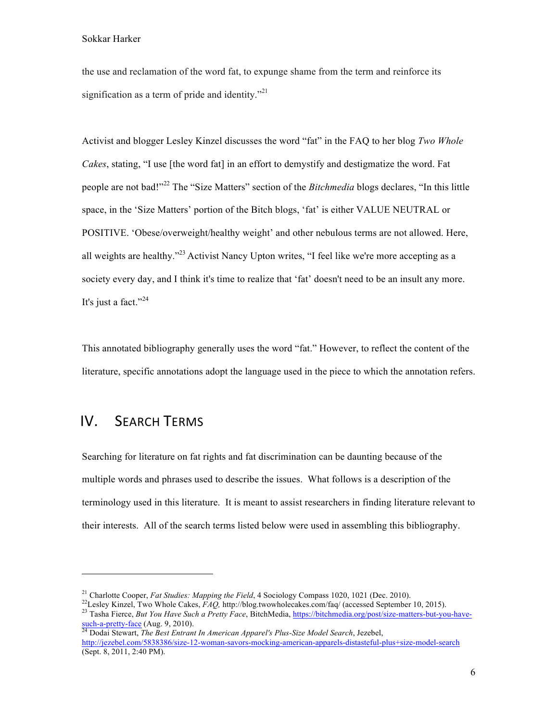the use and reclamation of the word fat, to expunge shame from the term and reinforce its signification as a term of pride and identity. $^{221}$ 

Activist and blogger Lesley Kinzel discusses the word "fat" in the FAQ to her blog *Two Whole Cakes*, stating, "I use [the word fat] in an effort to demystify and destigmatize the word. Fat people are not bad!" <sup>22</sup> The "Size Matters" section of the *Bitchmedia* blogs declares, "In this little space, in the 'Size Matters' portion of the Bitch blogs, 'fat' is either VALUE NEUTRAL or POSITIVE. 'Obese/overweight/healthy weight' and other nebulous terms are not allowed. Here, all weights are healthy."<sup>23</sup> Activist Nancy Upton writes, "I feel like we're more accepting as a society every day, and I think it's time to realize that 'fat' doesn't need to be an insult any more. It's just a fact."<sup>24</sup>

This annotated bibliography generally uses the word "fat." However, to reflect the content of the literature, specific annotations adopt the language used in the piece to which the annotation refers.

### IV. SEARCH TERMS

 $\overline{a}$ 

Searching for literature on fat rights and fat discrimination can be daunting because of the multiple words and phrases used to describe the issues. What follows is a description of the terminology used in this literature. It is meant to assist researchers in finding literature relevant to their interests. All of the search terms listed below were used in assembling this bibliography.

<sup>&</sup>lt;sup>21</sup> Charlotte Cooper, *Fat Studies: Mapping the Field*, 4 Sociology Compass 1020, 1021 (Dec. 2010).<br><sup>22</sup>Lesley Kinzel, Two Whole Cakes, *FAQ*, http://blog.twowholecakes.com/faq/ (accessed September 10, 2015).<br><sup>23</sup> Tasha

such-a-pretty-face (Aug. 9, 2010). <sup>24</sup> Dodai Stewart, *The Best Entrant In American Apparel's Plus-Size Model Search*, Jezebel,

http://jezebel.com/5838386/size-12-woman-savors-mocking-american-apparels-distasteful-plus+size-model-search (Sept. 8, 2011, 2:40 PM).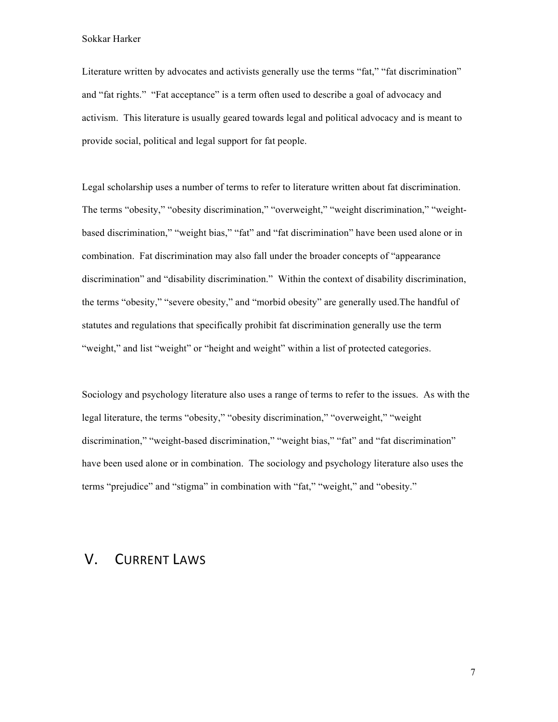Literature written by advocates and activists generally use the terms "fat," "fat discrimination" and "fat rights." "Fat acceptance" is a term often used to describe a goal of advocacy and activism. This literature is usually geared towards legal and political advocacy and is meant to provide social, political and legal support for fat people.

Legal scholarship uses a number of terms to refer to literature written about fat discrimination. The terms "obesity," "obesity discrimination," "overweight," "weight discrimination," "weightbased discrimination," "weight bias," "fat" and "fat discrimination" have been used alone or in combination. Fat discrimination may also fall under the broader concepts of "appearance discrimination" and "disability discrimination." Within the context of disability discrimination, the terms "obesity," "severe obesity," and "morbid obesity" are generally used.The handful of statutes and regulations that specifically prohibit fat discrimination generally use the term "weight," and list "weight" or "height and weight" within a list of protected categories.

Sociology and psychology literature also uses a range of terms to refer to the issues. As with the legal literature, the terms "obesity," "obesity discrimination," "overweight," "weight discrimination," "weight-based discrimination," "weight bias," "fat" and "fat discrimination" have been used alone or in combination. The sociology and psychology literature also uses the terms "prejudice" and "stigma" in combination with "fat," "weight," and "obesity."

### V. CURRENT LAWS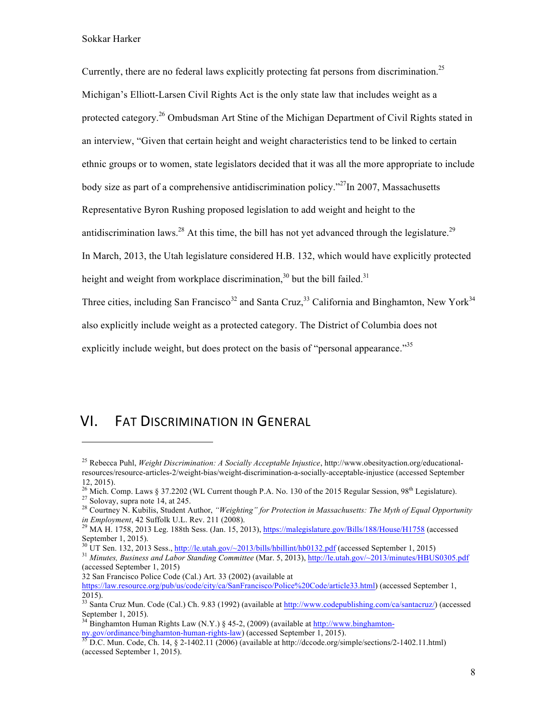Currently, there are no federal laws explicitly protecting fat persons from discrimination.<sup>25</sup> Michigan's Elliott-Larsen Civil Rights Act is the only state law that includes weight as a protected category.<sup>26</sup> Ombudsman Art Stine of the Michigan Department of Civil Rights stated in an interview, "Given that certain height and weight characteristics tend to be linked to certain ethnic groups or to women, state legislators decided that it was all the more appropriate to include body size as part of a comprehensive antidiscrimination policy."<sup>27</sup>In 2007, Massachusetts Representative Byron Rushing proposed legislation to add weight and height to the antidiscrimination laws.<sup>28</sup> At this time, the bill has not yet advanced through the legislature.<sup>29</sup> In March, 2013, the Utah legislature considered H.B. 132, which would have explicitly protected height and weight from workplace discrimination,  $30$  but the bill failed.<sup>31</sup> Three cities, including San Francisco<sup>32</sup> and Santa Cruz,<sup>33</sup> California and Binghamton, New York<sup>34</sup> also explicitly include weight as a protected category. The District of Columbia does not explicitly include weight, but does protect on the basis of "personal appearance."<sup>35</sup>

### VI. FAT DISCRIMINATION IN GENERAL

<sup>25</sup> Rebecca Puhl, *Weight Discrimination: A Socially Acceptable Injustice*, http://www.obesityaction.org/educationalresources/resource-articles-2/weight-bias/weight-discrimination-a-socially-acceptable-injustice (accessed September 12, 2015).

<sup>&</sup>lt;sup>26</sup> Mich. Comp. Laws § 37.2202 (WL Current though P.A. No. 130 of the 2015 Regular Session, 98<sup>th</sup> Legislature).<br><sup>27</sup> Solovay, supra note 14, at 245.<br><sup>28</sup> Courtney N. Kubilis, Student Author, *"Weighting" for Protection i* 

*in Employment*, 42 Suffolk U.L. Rev. 211 (2008). <sup>29</sup> MA H. 1758, 2013 Leg. 188th Sess. (Jan. 15, 2013), https://malegislature.gov/Bills/188/House/H1758 (accessed

September 1, 2015).<br><sup>30</sup> UT Sen. 132, 2013 Sess., http://le.utah.gov/~2013/bills/hbillint/hb0132.pdf (accessed September 1, 2015)

<sup>&</sup>lt;sup>31</sup> Minutes, Business and Labor Standing Committee (Mar. 5, 2013), http://le.utah.gov/~2013/minutes/HBUS0305.pdf (accessed September 1, 2015)

<sup>32</sup> San Francisco Police Code (Cal.) Art. 33 (2002) (available at

https://law.resource.org/pub/us/code/city/ca/SanFrancisco/Police%20Code/article33.html) (accessed September 1, 2015).<br><sup>33</sup> Santa Cruz Mun. Code (Cal.) Ch. 9.83 (1992) (available at http://www.codepublishing.com/ca/santacruz/) (accessed

September 1, 2015).<br><sup>34</sup> Binghamton Human Rights Law (N.Y.) § 45-2, (2009) (available at http://www.binghamton-

ny.gov/ordinance/binghamton-human-rights-law) (accessed September 1, 2015).<br> $\frac{35}{25}$  D.C. Mun. Code, Ch. 14, § 2-1402.11 (2006) (available at http://dccode.org/simple/sections/2-1402.11.html)

<sup>(</sup>accessed September 1, 2015).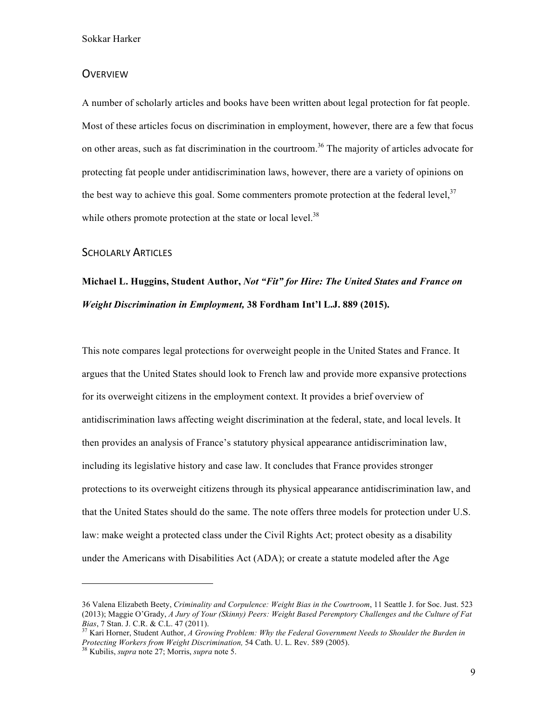#### **OVERVIEW**

A number of scholarly articles and books have been written about legal protection for fat people. Most of these articles focus on discrimination in employment, however, there are a few that focus on other areas, such as fat discrimination in the courtroom.<sup>36</sup> The majority of articles advocate for protecting fat people under antidiscrimination laws, however, there are a variety of opinions on the best way to achieve this goal. Some commenters promote protection at the federal level, $37$ while others promote protection at the state or local level.<sup>38</sup>

#### **SCHOLARLY ARTICLES**

# **Michael L. Huggins, Student Author,** *Not "Fit" for Hire: The United States and France on Weight Discrimination in Employment,* **38 Fordham Int'l L.J. 889 (2015).**

This note compares legal protections for overweight people in the United States and France. It argues that the United States should look to French law and provide more expansive protections for its overweight citizens in the employment context. It provides a brief overview of antidiscrimination laws affecting weight discrimination at the federal, state, and local levels. It then provides an analysis of France's statutory physical appearance antidiscrimination law, including its legislative history and case law. It concludes that France provides stronger protections to its overweight citizens through its physical appearance antidiscrimination law, and that the United States should do the same. The note offers three models for protection under U.S. law: make weight a protected class under the Civil Rights Act; protect obesity as a disability under the Americans with Disabilities Act (ADA); or create a statute modeled after the Age

<sup>36</sup> Valena Elizabeth Beety, *Criminality and Corpulence: Weight Bias in the Courtroom*, 11 Seattle J. for Soc. Just. 523 (2013); Maggie O'Grady, *A Jury of Your (Skinny) Peers: Weight Based Peremptory Challenges and the Culture of Fat Bias*, 7 Stan. J. C.R. & C.L. 47 (2011).<br><sup>37</sup> Kari Horner, Student Author, *A Growing Problem: Why the Federal Government Needs to Shoulder the Burden in* 

*Protecting Workers from Weight Discrimination,* 54 Cath. U. L. Rev. 589 (2005). <sup>38</sup> Kubilis, *supra* note 27; Morris, *supra* note 5.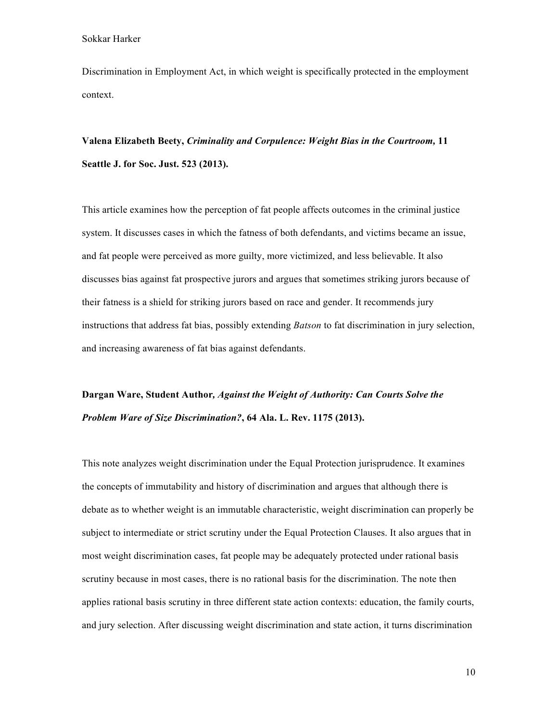Discrimination in Employment Act, in which weight is specifically protected in the employment context.

### **Valena Elizabeth Beety,** *Criminality and Corpulence: Weight Bias in the Courtroom,* **11 Seattle J. for Soc. Just. 523 (2013).**

This article examines how the perception of fat people affects outcomes in the criminal justice system. It discusses cases in which the fatness of both defendants, and victims became an issue, and fat people were perceived as more guilty, more victimized, and less believable. It also discusses bias against fat prospective jurors and argues that sometimes striking jurors because of their fatness is a shield for striking jurors based on race and gender. It recommends jury instructions that address fat bias, possibly extending *Batson* to fat discrimination in jury selection, and increasing awareness of fat bias against defendants.

### **Dargan Ware, Student Author***, Against the Weight of Authority: Can Courts Solve the Problem Ware of Size Discrimination?***, 64 Ala. L. Rev. 1175 (2013).**

This note analyzes weight discrimination under the Equal Protection jurisprudence. It examines the concepts of immutability and history of discrimination and argues that although there is debate as to whether weight is an immutable characteristic, weight discrimination can properly be subject to intermediate or strict scrutiny under the Equal Protection Clauses. It also argues that in most weight discrimination cases, fat people may be adequately protected under rational basis scrutiny because in most cases, there is no rational basis for the discrimination. The note then applies rational basis scrutiny in three different state action contexts: education, the family courts, and jury selection. After discussing weight discrimination and state action, it turns discrimination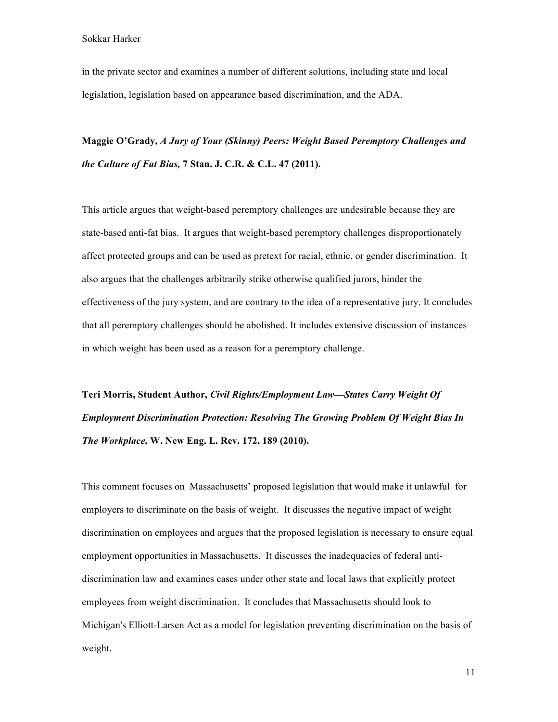in the private sector and examines a number of different solutions, including state and local legislation, legislation based on appearance based discrimination, and the ADA.

# **Maggie O'Grady,** *A Jury of Your (Skinny) Peers: Weight Based Peremptory Challenges and the Culture of Fat Bias,* **7 Stan. J. C.R. & C.L. 47 (2011).**

This article argues that weight-based peremptory challenges are undesirable because they are state-based anti-fat bias. It argues that weight-based peremptory challenges disproportionately affect protected groups and can be used as pretext for racial, ethnic, or gender discrimination. It also argues that the challenges arbitrarily strike otherwise qualified jurors, hinder the effectiveness of the jury system, and are contrary to the idea of a representative jury. It concludes that all peremptory challenges should be abolished. It includes extensive discussion of instances in which weight has been used as a reason for a peremptory challenge.

**Teri Morris, Student Author,** *Civil Rights/Employment Law—States Carry Weight Of Employment Discrimination Protection: Resolving The Growing Problem Of Weight Bias In The Workplace,* **W. New Eng. L. Rev. 172, 189 (2010).**

This comment focuses on Massachusetts' proposed legislation that would make it unlawful for employers to discriminate on the basis of weight. It discusses the negative impact of weight discrimination on employees and argues that the proposed legislation is necessary to ensure equal employment opportunities in Massachusetts. It discusses the inadequacies of federal antidiscrimination law and examines cases under other state and local laws that explicitly protect employees from weight discrimination. It concludes that Massachusetts should look to Michigan's Elliott-Larsen Act as a model for legislation preventing discrimination on the basis of weight.

11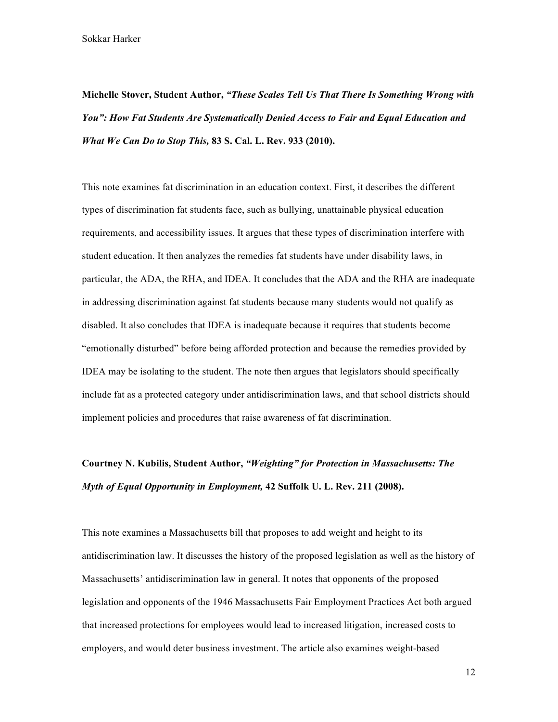**Michelle Stover, Student Author,** *"These Scales Tell Us That There Is Something Wrong with You": How Fat Students Are Systematically Denied Access to Fair and Equal Education and What We Can Do to Stop This,* **83 S. Cal. L. Rev. 933 (2010).**

This note examines fat discrimination in an education context. First, it describes the different types of discrimination fat students face, such as bullying, unattainable physical education requirements, and accessibility issues. It argues that these types of discrimination interfere with student education. It then analyzes the remedies fat students have under disability laws, in particular, the ADA, the RHA, and IDEA. It concludes that the ADA and the RHA are inadequate in addressing discrimination against fat students because many students would not qualify as disabled. It also concludes that IDEA is inadequate because it requires that students become "emotionally disturbed" before being afforded protection and because the remedies provided by IDEA may be isolating to the student. The note then argues that legislators should specifically include fat as a protected category under antidiscrimination laws, and that school districts should implement policies and procedures that raise awareness of fat discrimination.

### **Courtney N. Kubilis, Student Author,** *"Weighting" for Protection in Massachusetts: The Myth of Equal Opportunity in Employment,* **42 Suffolk U. L. Rev. 211 (2008).**

This note examines a Massachusetts bill that proposes to add weight and height to its antidiscrimination law. It discusses the history of the proposed legislation as well as the history of Massachusetts' antidiscrimination law in general. It notes that opponents of the proposed legislation and opponents of the 1946 Massachusetts Fair Employment Practices Act both argued that increased protections for employees would lead to increased litigation, increased costs to employers, and would deter business investment. The article also examines weight-based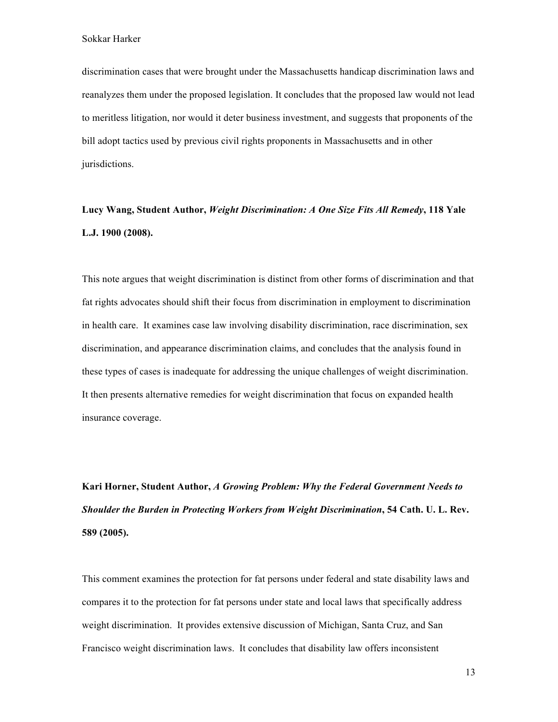discrimination cases that were brought under the Massachusetts handicap discrimination laws and reanalyzes them under the proposed legislation. It concludes that the proposed law would not lead to meritless litigation, nor would it deter business investment, and suggests that proponents of the bill adopt tactics used by previous civil rights proponents in Massachusetts and in other jurisdictions.

# **Lucy Wang, Student Author,** *Weight Discrimination: A One Size Fits All Remedy***, 118 Yale L.J. 1900 (2008).**

This note argues that weight discrimination is distinct from other forms of discrimination and that fat rights advocates should shift their focus from discrimination in employment to discrimination in health care. It examines case law involving disability discrimination, race discrimination, sex discrimination, and appearance discrimination claims, and concludes that the analysis found in these types of cases is inadequate for addressing the unique challenges of weight discrimination. It then presents alternative remedies for weight discrimination that focus on expanded health insurance coverage.

**Kari Horner, Student Author,** *A Growing Problem: Why the Federal Government Needs to Shoulder the Burden in Protecting Workers from Weight Discrimination***, 54 Cath. U. L. Rev. 589 (2005).**

This comment examines the protection for fat persons under federal and state disability laws and compares it to the protection for fat persons under state and local laws that specifically address weight discrimination. It provides extensive discussion of Michigan, Santa Cruz, and San Francisco weight discrimination laws. It concludes that disability law offers inconsistent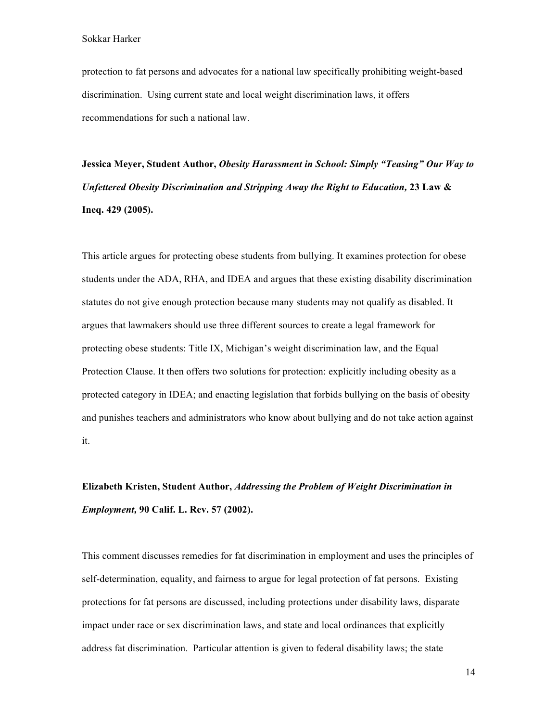protection to fat persons and advocates for a national law specifically prohibiting weight-based discrimination. Using current state and local weight discrimination laws, it offers recommendations for such a national law.

**Jessica Meyer, Student Author,** *Obesity Harassment in School: Simply "Teasing" Our Way to Unfettered Obesity Discrimination and Stripping Away the Right to Education,* **23 Law & Ineq. 429 (2005).**

This article argues for protecting obese students from bullying. It examines protection for obese students under the ADA, RHA, and IDEA and argues that these existing disability discrimination statutes do not give enough protection because many students may not qualify as disabled. It argues that lawmakers should use three different sources to create a legal framework for protecting obese students: Title IX, Michigan's weight discrimination law, and the Equal Protection Clause. It then offers two solutions for protection: explicitly including obesity as a protected category in IDEA; and enacting legislation that forbids bullying on the basis of obesity and punishes teachers and administrators who know about bullying and do not take action against it.

# **Elizabeth Kristen, Student Author,** *Addressing the Problem of Weight Discrimination in Employment,* **90 Calif. L. Rev. 57 (2002).**

This comment discusses remedies for fat discrimination in employment and uses the principles of self-determination, equality, and fairness to argue for legal protection of fat persons. Existing protections for fat persons are discussed, including protections under disability laws, disparate impact under race or sex discrimination laws, and state and local ordinances that explicitly address fat discrimination. Particular attention is given to federal disability laws; the state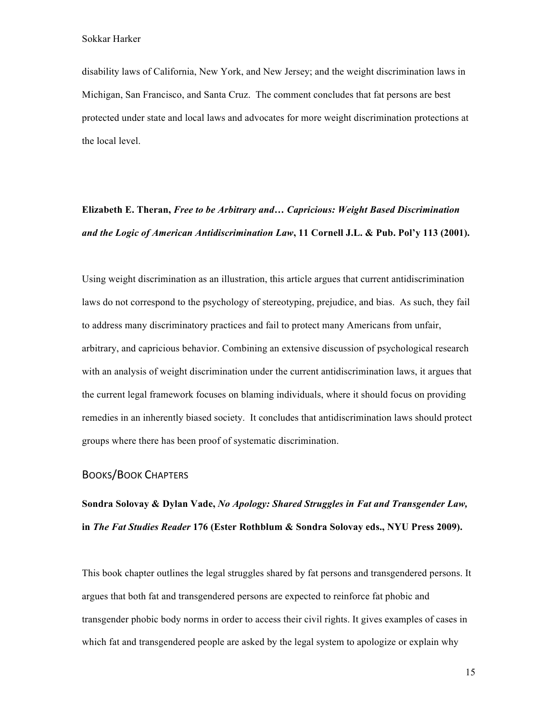disability laws of California, New York, and New Jersey; and the weight discrimination laws in Michigan, San Francisco, and Santa Cruz. The comment concludes that fat persons are best protected under state and local laws and advocates for more weight discrimination protections at the local level.

# **Elizabeth E. Theran,** *Free to be Arbitrary and… Capricious: Weight Based Discrimination and the Logic of American Antidiscrimination Law***, 11 Cornell J.L. & Pub. Pol'y 113 (2001).**

Using weight discrimination as an illustration, this article argues that current antidiscrimination laws do not correspond to the psychology of stereotyping, prejudice, and bias. As such, they fail to address many discriminatory practices and fail to protect many Americans from unfair, arbitrary, and capricious behavior. Combining an extensive discussion of psychological research with an analysis of weight discrimination under the current antidiscrimination laws, it argues that the current legal framework focuses on blaming individuals, where it should focus on providing remedies in an inherently biased society. It concludes that antidiscrimination laws should protect groups where there has been proof of systematic discrimination.

#### BOOKS/BOOK CHAPTERS

**Sondra Solovay & Dylan Vade,** *No Apology: Shared Struggles in Fat and Transgender Law,* **in** *The Fat Studies Reader* **176 (Ester Rothblum & Sondra Solovay eds., NYU Press 2009).**

This book chapter outlines the legal struggles shared by fat persons and transgendered persons. It argues that both fat and transgendered persons are expected to reinforce fat phobic and transgender phobic body norms in order to access their civil rights. It gives examples of cases in which fat and transgendered people are asked by the legal system to apologize or explain why

15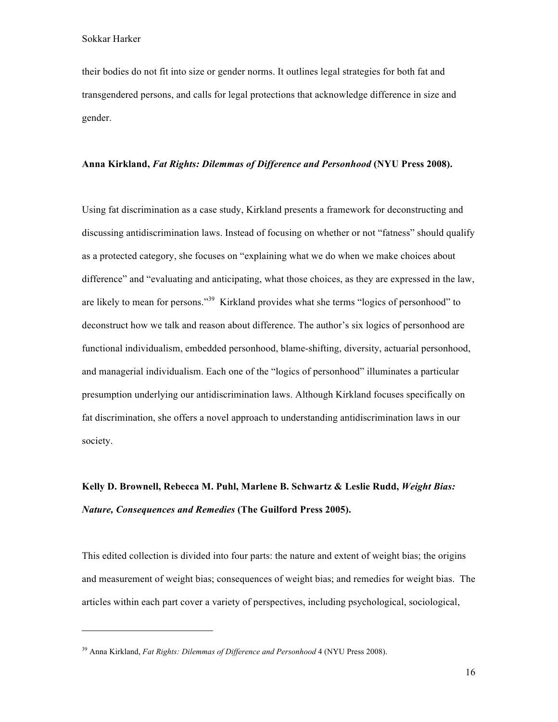$\overline{a}$ 

their bodies do not fit into size or gender norms. It outlines legal strategies for both fat and transgendered persons, and calls for legal protections that acknowledge difference in size and gender.

#### **Anna Kirkland,** *Fat Rights: Dilemmas of Difference and Personhood* **(NYU Press 2008).**

Using fat discrimination as a case study, Kirkland presents a framework for deconstructing and discussing antidiscrimination laws. Instead of focusing on whether or not "fatness" should qualify as a protected category, she focuses on "explaining what we do when we make choices about difference" and "evaluating and anticipating, what those choices, as they are expressed in the law, are likely to mean for persons."<sup>39</sup> Kirkland provides what she terms "logics of personhood" to deconstruct how we talk and reason about difference. The author's six logics of personhood are functional individualism, embedded personhood, blame-shifting, diversity, actuarial personhood, and managerial individualism. Each one of the "logics of personhood" illuminates a particular presumption underlying our antidiscrimination laws. Although Kirkland focuses specifically on fat discrimination, she offers a novel approach to understanding antidiscrimination laws in our society.

# **Kelly D. Brownell, Rebecca M. Puhl, Marlene B. Schwartz & Leslie Rudd,** *Weight Bias: Nature, Consequences and Remedies* **(The Guilford Press 2005).**

This edited collection is divided into four parts: the nature and extent of weight bias; the origins and measurement of weight bias; consequences of weight bias; and remedies for weight bias. The articles within each part cover a variety of perspectives, including psychological, sociological,

<sup>39</sup> Anna Kirkland, *Fat Rights: Dilemmas of Difference and Personhood* 4 (NYU Press 2008).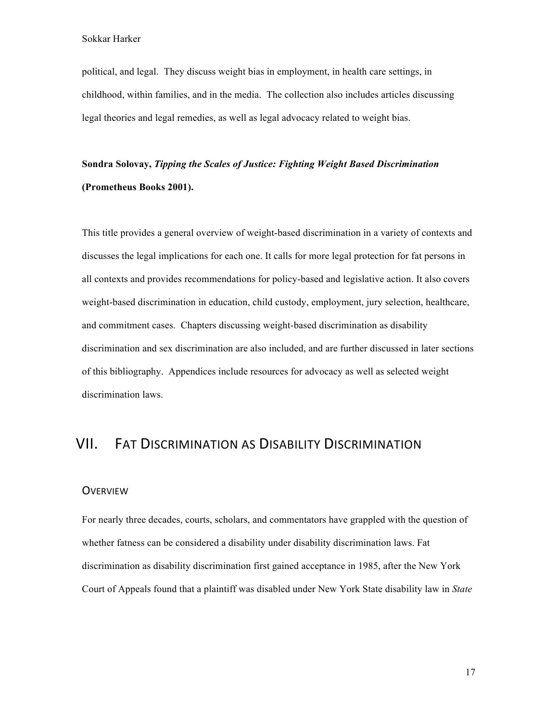political, and legal. They discuss weight bias in employment, in health care settings, in childhood, within families, and in the media. The collection also includes articles discussing legal theories and legal remedies, as well as legal advocacy related to weight bias.

### **Sondra Solovay,** *Tipping the Scales of Justice: Fighting Weight Based Discrimination* **(Prometheus Books 2001).**

This title provides a general overview of weight-based discrimination in a variety of contexts and discusses the legal implications for each one. It calls for more legal protection for fat persons in all contexts and provides recommendations for policy-based and legislative action. It also covers weight-based discrimination in education, child custody, employment, jury selection, healthcare, and commitment cases. Chapters discussing weight-based discrimination as disability discrimination and sex discrimination are also included, and are further discussed in later sections of this bibliography. Appendices include resources for advocacy as well as selected weight discrimination laws.

### VII. FAT DISCRIMINATION AS DISABILITY DISCRIMINATION

#### **O**VERVIEW

For nearly three decades, courts, scholars, and commentators have grappled with the question of whether fatness can be considered a disability under disability discrimination laws. Fat discrimination as disability discrimination first gained acceptance in 1985, after the New York Court of Appeals found that a plaintiff was disabled under New York State disability law in *State*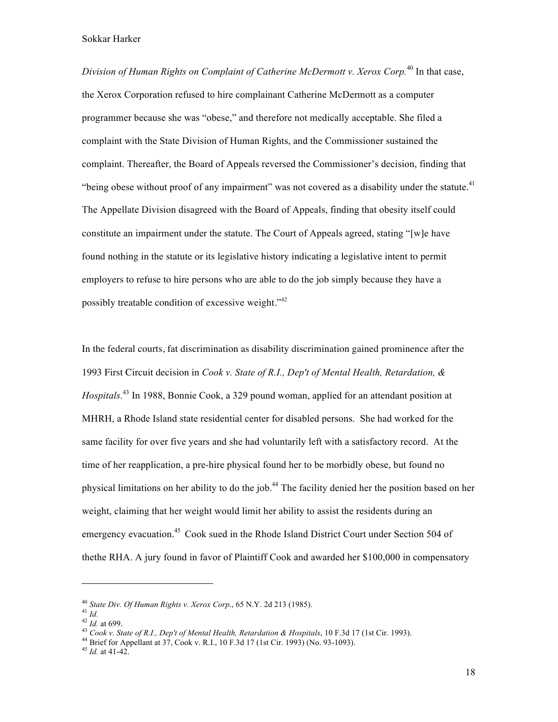*Division of Human Rights on Complaint of Catherine McDermott v. Xerox Corp.*<sup>40</sup> In that case, the Xerox Corporation refused to hire complainant Catherine McDermott as a computer programmer because she was "obese," and therefore not medically acceptable. She filed a complaint with the State Division of Human Rights, and the Commissioner sustained the complaint. Thereafter, the Board of Appeals reversed the Commissioner's decision, finding that "being obese without proof of any impairment" was not covered as a disability under the statute.<sup>41</sup> The Appellate Division disagreed with the Board of Appeals, finding that obesity itself could constitute an impairment under the statute. The Court of Appeals agreed, stating "[w]e have found nothing in the statute or its legislative history indicating a legislative intent to permit employers to refuse to hire persons who are able to do the job simply because they have a possibly treatable condition of excessive weight."<sup>42</sup>

In the federal courts, fat discrimination as disability discrimination gained prominence after the 1993 First Circuit decision in *Cook v. State of R.I., Dep't of Mental Health, Retardation, & Hospitals.*<sup>43</sup> In 1988, Bonnie Cook, a 329 pound woman, applied for an attendant position at MHRH, a Rhode Island state residential center for disabled persons. She had worked for the same facility for over five years and she had voluntarily left with a satisfactory record. At the time of her reapplication, a pre-hire physical found her to be morbidly obese, but found no physical limitations on her ability to do the job.<sup>44</sup> The facility denied her the position based on her weight, claiming that her weight would limit her ability to assist the residents during an emergency evacuation.<sup>45</sup> Cook sued in the Rhode Island District Court under Section 504 of thethe RHA. A jury found in favor of Plaintiff Cook and awarded her \$100,000 in compensatory

<sup>&</sup>lt;sup>40</sup> State Div. Of Human Rights v. Xerox Corp., 65 N.Y. 2d 213 (1985).<br><sup>41</sup> Id.<br><sup>42</sup> Id. at 699.<br><sup>43</sup> Cook v. State of R.I., Dep't of Mental Health, Retardation & Hospitals, 10 F.3d 17 (1st Cir. 1993).<br><sup>44</sup> Brief for Appe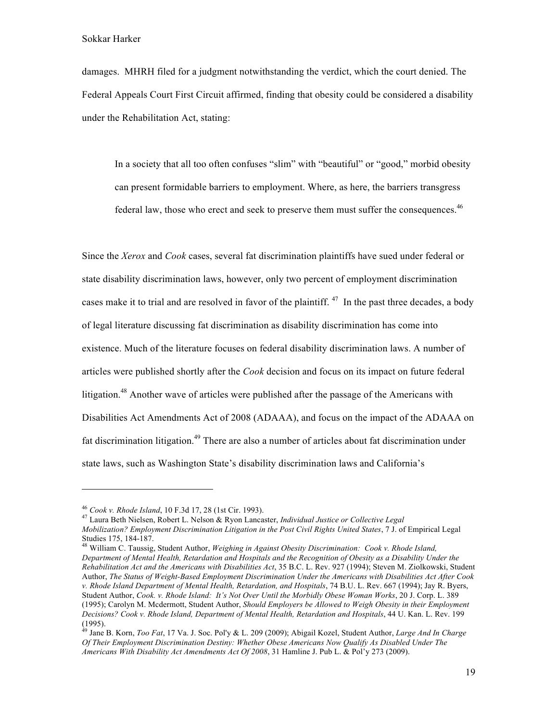damages. MHRH filed for a judgment notwithstanding the verdict, which the court denied. The Federal Appeals Court First Circuit affirmed, finding that obesity could be considered a disability under the Rehabilitation Act, stating:

In a society that all too often confuses "slim" with "beautiful" or "good," morbid obesity can present formidable barriers to employment. Where, as here, the barriers transgress federal law, those who erect and seek to preserve them must suffer the consequences.<sup>46</sup>

Since the *Xerox* and *Cook* cases, several fat discrimination plaintiffs have sued under federal or state disability discrimination laws, however, only two percent of employment discrimination cases make it to trial and are resolved in favor of the plaintiff.  $47$  In the past three decades, a body of legal literature discussing fat discrimination as disability discrimination has come into existence. Much of the literature focuses on federal disability discrimination laws. A number of articles were published shortly after the *Cook* decision and focus on its impact on future federal litigation.<sup>48</sup> Another wave of articles were published after the passage of the Americans with Disabilities Act Amendments Act of 2008 (ADAAA), and focus on the impact of the ADAAA on fat discrimination litigation.<sup>49</sup> There are also a number of articles about fat discrimination under state laws, such as Washington State's disability discrimination laws and California's

<sup>46</sup> *Cook v. Rhode Island*, 10 F.3d 17, 28 (1st Cir. 1993). <sup>47</sup> Laura Beth Nielsen, Robert L. Nelson & Ryon Lancaster, *Individual Justice or Collective Legal Mobilization? Employment Discrimination Litigation in the Post Civil Rights United States*, 7 J. of Empirical Legal Studies 175, 184-187.<br><sup>48</sup> William C. Taussig, Student Author, *Weighing in Against Obesity Discrimination: Cook v. Rhode Island,* 

*Department of Mental Health, Retardation and Hospitals and the Recognition of Obesity as a Disability Under the Rehabilitation Act and the Americans with Disabilities Act*, 35 B.C. L. Rev. 927 (1994); Steven M. Ziolkowski, Student Author, *The Status of Weight-Based Employment Discrimination Under the Americans with Disabilities Act After Cook v. Rhode Island Department of Mental Health, Retardation, and Hospitals*, 74 B.U. L. Rev. 667 (1994); Jay R. Byers, Student Author, *Cook. v. Rhode Island: It's Not Over Until the Morbidly Obese Woman Works*, 20 J. Corp. L. 389 (1995); Carolyn M. Mcdermott, Student Author, *Should Employers be Allowed to Weigh Obesity in their Employment Decisions? Cook v. Rhode Island, Department of Mental Health, Retardation and Hospitals*, 44 U. Kan. L. Rev. 199 (1995).

<sup>49</sup> Jane B. Korn, *Too Fat*, 17 Va. J. Soc. Pol'y & L. 209 (2009); Abigail Kozel, Student Author, *Large And In Charge Of Their Employment Discrimination Destiny: Whether Obese Americans Now Qualify As Disabled Under The Americans With Disability Act Amendments Act Of 2008*, 31 Hamline J. Pub L. & Pol'y 273 (2009).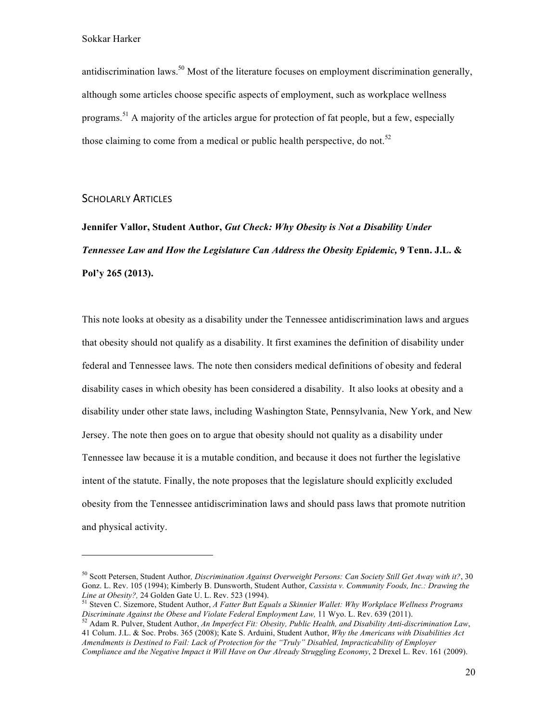antidiscrimination laws.<sup>50</sup> Most of the literature focuses on employment discrimination generally, although some articles choose specific aspects of employment, such as workplace wellness programs.<sup>51</sup> A majority of the articles argue for protection of fat people, but a few, especially those claiming to come from a medical or public health perspective, do not.<sup>52</sup>

#### **SCHOLARLY ARTICLES**

 $\overline{a}$ 

**Jennifer Vallor, Student Author,** *Gut Check: Why Obesity is Not a Disability Under Tennessee Law and How the Legislature Can Address the Obesity Epidemic,* **9 Tenn. J.L. & Pol'y 265 (2013).**

This note looks at obesity as a disability under the Tennessee antidiscrimination laws and argues that obesity should not qualify as a disability. It first examines the definition of disability under federal and Tennessee laws. The note then considers medical definitions of obesity and federal disability cases in which obesity has been considered a disability. It also looks at obesity and a disability under other state laws, including Washington State, Pennsylvania, New York, and New Jersey. The note then goes on to argue that obesity should not quality as a disability under Tennessee law because it is a mutable condition, and because it does not further the legislative intent of the statute. Finally, the note proposes that the legislature should explicitly excluded obesity from the Tennessee antidiscrimination laws and should pass laws that promote nutrition and physical activity.

<sup>50</sup> Scott Petersen, Student Author*, Discrimination Against Overweight Persons: Can Society Still Get Away with it?*, 30 Gonz. L. Rev. 105 (1994); Kimberly B. Dunsworth, Student Author, *Cassista v. Community Foods, Inc.: Drawing the* 

*Line at Obesity?,* 24 Golden Gate U. L. Rev. 523 (1994).<br><sup>51</sup> Steven C. Sizemore, Student Author, *A Fatter Butt Equals a Skinnier Wallet: Why Workplace Wellness Programs*<br>*Discriminate Against the Obese and Violate Feder* 

<sup>&</sup>lt;sup>52</sup> Adam R. Pulver, Student Author, An Imperfect Fit: Obesity, Public Health, and Disability Anti-discrimination Law, 41 Colum. J.L. & Soc. Probs. 365 (2008); Kate S. Arduini, Student Author, *Why the Americans with Disabilities Act Amendments is Destined to Fail: Lack of Protection for the "Truly" Disabled, Impracticability of Employer Compliance and the Negative Impact it Will Have on Our Already Struggling Economy*, 2 Drexel L. Rev. 161 (2009).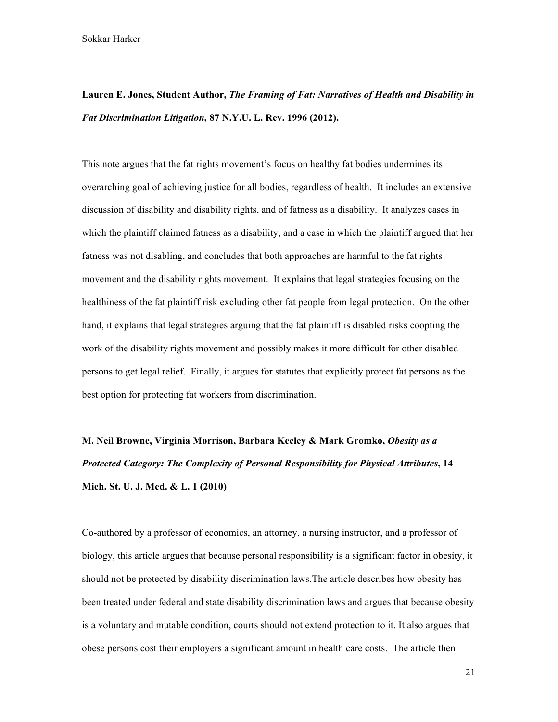**Lauren E. Jones, Student Author,** *The Framing of Fat: Narratives of Health and Disability in Fat Discrimination Litigation,* **87 N.Y.U. L. Rev. 1996 (2012).**

This note argues that the fat rights movement's focus on healthy fat bodies undermines its overarching goal of achieving justice for all bodies, regardless of health. It includes an extensive discussion of disability and disability rights, and of fatness as a disability. It analyzes cases in which the plaintiff claimed fatness as a disability, and a case in which the plaintiff argued that her fatness was not disabling, and concludes that both approaches are harmful to the fat rights movement and the disability rights movement. It explains that legal strategies focusing on the healthiness of the fat plaintiff risk excluding other fat people from legal protection. On the other hand, it explains that legal strategies arguing that the fat plaintiff is disabled risks coopting the work of the disability rights movement and possibly makes it more difficult for other disabled persons to get legal relief. Finally, it argues for statutes that explicitly protect fat persons as the best option for protecting fat workers from discrimination.

**M. Neil Browne, Virginia Morrison, Barbara Keeley & Mark Gromko,** *Obesity as a Protected Category: The Complexity of Personal Responsibility for Physical Attributes***, 14 Mich. St. U. J. Med. & L. 1 (2010)**

Co-authored by a professor of economics, an attorney, a nursing instructor, and a professor of biology, this article argues that because personal responsibility is a significant factor in obesity, it should not be protected by disability discrimination laws.The article describes how obesity has been treated under federal and state disability discrimination laws and argues that because obesity is a voluntary and mutable condition, courts should not extend protection to it. It also argues that obese persons cost their employers a significant amount in health care costs. The article then

21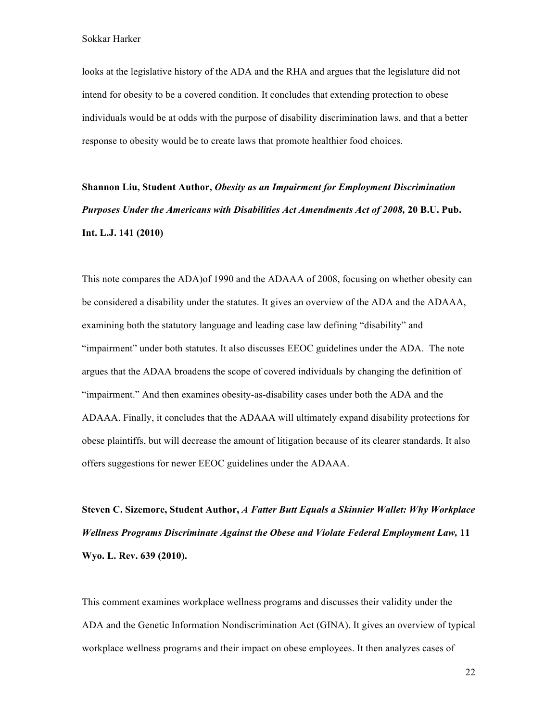looks at the legislative history of the ADA and the RHA and argues that the legislature did not intend for obesity to be a covered condition. It concludes that extending protection to obese individuals would be at odds with the purpose of disability discrimination laws, and that a better response to obesity would be to create laws that promote healthier food choices.

**Shannon Liu, Student Author,** *Obesity as an Impairment for Employment Discrimination Purposes Under the Americans with Disabilities Act Amendments Act of 2008,* **20 B.U. Pub. Int. L.J. 141 (2010)**

This note compares the ADA)of 1990 and the ADAAA of 2008, focusing on whether obesity can be considered a disability under the statutes. It gives an overview of the ADA and the ADAAA, examining both the statutory language and leading case law defining "disability" and "impairment" under both statutes. It also discusses EEOC guidelines under the ADA. The note argues that the ADAA broadens the scope of covered individuals by changing the definition of "impairment." And then examines obesity-as-disability cases under both the ADA and the ADAAA. Finally, it concludes that the ADAAA will ultimately expand disability protections for obese plaintiffs, but will decrease the amount of litigation because of its clearer standards. It also offers suggestions for newer EEOC guidelines under the ADAAA.

**Steven C. Sizemore, Student Author,** *A Fatter Butt Equals a Skinnier Wallet: Why Workplace Wellness Programs Discriminate Against the Obese and Violate Federal Employment Law,* **11 Wyo. L. Rev. 639 (2010).**

This comment examines workplace wellness programs and discusses their validity under the ADA and the Genetic Information Nondiscrimination Act (GINA). It gives an overview of typical workplace wellness programs and their impact on obese employees. It then analyzes cases of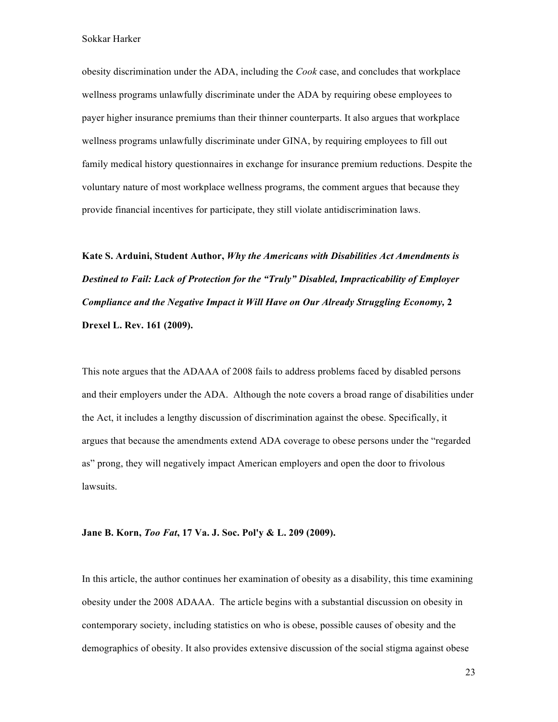obesity discrimination under the ADA, including the *Cook* case, and concludes that workplace wellness programs unlawfully discriminate under the ADA by requiring obese employees to payer higher insurance premiums than their thinner counterparts. It also argues that workplace wellness programs unlawfully discriminate under GINA, by requiring employees to fill out family medical history questionnaires in exchange for insurance premium reductions. Despite the voluntary nature of most workplace wellness programs, the comment argues that because they provide financial incentives for participate, they still violate antidiscrimination laws.

**Kate S. Arduini, Student Author,** *Why the Americans with Disabilities Act Amendments is Destined to Fail: Lack of Protection for the "Truly" Disabled, Impracticability of Employer Compliance and the Negative Impact it Will Have on Our Already Struggling Economy,* **2 Drexel L. Rev. 161 (2009).**

This note argues that the ADAAA of 2008 fails to address problems faced by disabled persons and their employers under the ADA. Although the note covers a broad range of disabilities under the Act, it includes a lengthy discussion of discrimination against the obese. Specifically, it argues that because the amendments extend ADA coverage to obese persons under the "regarded as" prong, they will negatively impact American employers and open the door to frivolous lawsuits.

#### **Jane B. Korn,** *Too Fat***, 17 Va. J. Soc. Pol'y & L. 209 (2009).**

In this article, the author continues her examination of obesity as a disability, this time examining obesity under the 2008 ADAAA. The article begins with a substantial discussion on obesity in contemporary society, including statistics on who is obese, possible causes of obesity and the demographics of obesity. It also provides extensive discussion of the social stigma against obese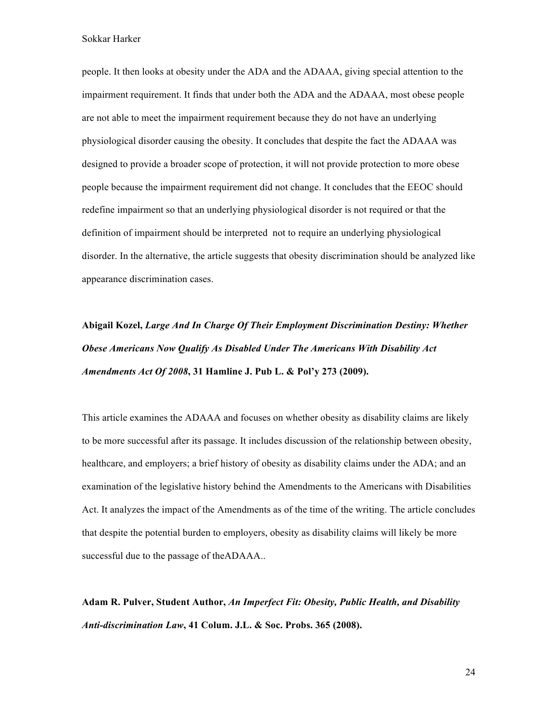people. It then looks at obesity under the ADA and the ADAAA, giving special attention to the impairment requirement. It finds that under both the ADA and the ADAAA, most obese people are not able to meet the impairment requirement because they do not have an underlying physiological disorder causing the obesity. It concludes that despite the fact the ADAAA was designed to provide a broader scope of protection, it will not provide protection to more obese people because the impairment requirement did not change. It concludes that the EEOC should redefine impairment so that an underlying physiological disorder is not required or that the definition of impairment should be interpreted not to require an underlying physiological disorder. In the alternative, the article suggests that obesity discrimination should be analyzed like appearance discrimination cases.

**Abigail Kozel,** *Large And In Charge Of Their Employment Discrimination Destiny: Whether Obese Americans Now Qualify As Disabled Under The Americans With Disability Act Amendments Act Of 2008***, 31 Hamline J. Pub L. & Pol'y 273 (2009).** 

This article examines the ADAAA and focuses on whether obesity as disability claims are likely to be more successful after its passage. It includes discussion of the relationship between obesity, healthcare, and employers; a brief history of obesity as disability claims under the ADA; and an examination of the legislative history behind the Amendments to the Americans with Disabilities Act. It analyzes the impact of the Amendments as of the time of the writing. The article concludes that despite the potential burden to employers, obesity as disability claims will likely be more successful due to the passage of theADAAA..

**Adam R. Pulver, Student Author,** *An Imperfect Fit: Obesity, Public Health, and Disability Anti-discrimination Law***, 41 Colum. J.L. & Soc. Probs. 365 (2008).**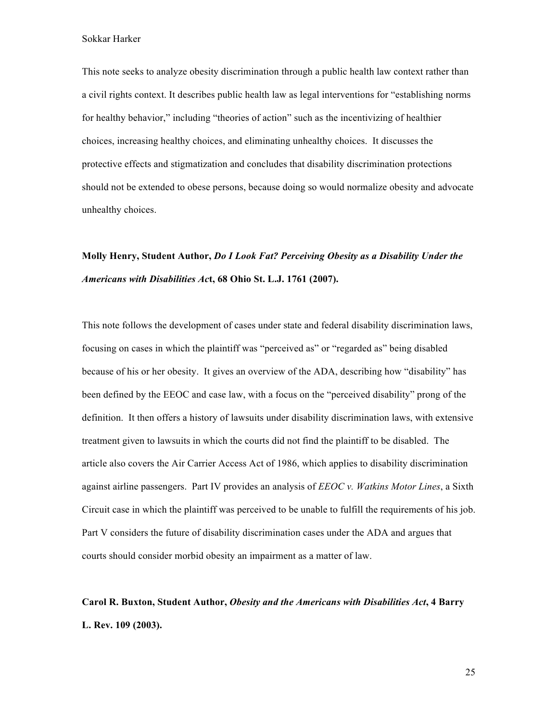This note seeks to analyze obesity discrimination through a public health law context rather than a civil rights context. It describes public health law as legal interventions for "establishing norms for healthy behavior," including "theories of action" such as the incentivizing of healthier choices, increasing healthy choices, and eliminating unhealthy choices. It discusses the protective effects and stigmatization and concludes that disability discrimination protections should not be extended to obese persons, because doing so would normalize obesity and advocate unhealthy choices.

# **Molly Henry, Student Author,** *Do I Look Fat? Perceiving Obesity as a Disability Under the Americans with Disabilities Ac***t, 68 Ohio St. L.J. 1761 (2007).**

This note follows the development of cases under state and federal disability discrimination laws, focusing on cases in which the plaintiff was "perceived as" or "regarded as" being disabled because of his or her obesity. It gives an overview of the ADA, describing how "disability" has been defined by the EEOC and case law, with a focus on the "perceived disability" prong of the definition. It then offers a history of lawsuits under disability discrimination laws, with extensive treatment given to lawsuits in which the courts did not find the plaintiff to be disabled. The article also covers the Air Carrier Access Act of 1986, which applies to disability discrimination against airline passengers. Part IV provides an analysis of *EEOC v. Watkins Motor Lines*, a Sixth Circuit case in which the plaintiff was perceived to be unable to fulfill the requirements of his job. Part V considers the future of disability discrimination cases under the ADA and argues that courts should consider morbid obesity an impairment as a matter of law.

# **Carol R. Buxton, Student Author,** *Obesity and the Americans with Disabilities Act***, 4 Barry L. Rev. 109 (2003).**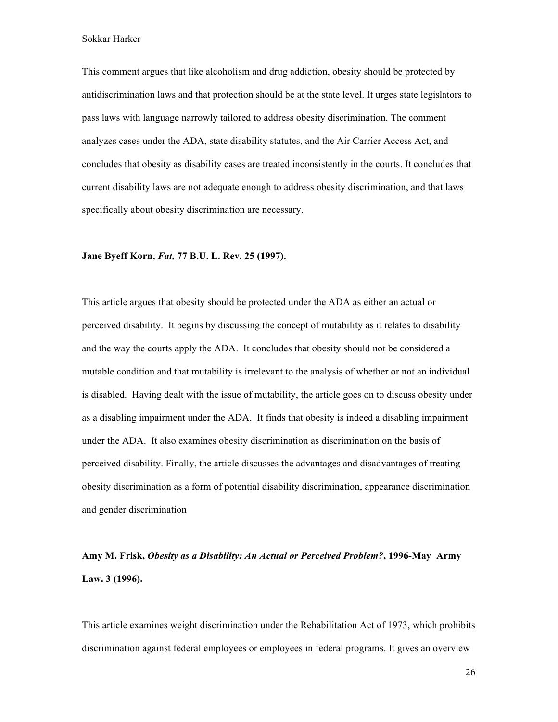This comment argues that like alcoholism and drug addiction, obesity should be protected by antidiscrimination laws and that protection should be at the state level. It urges state legislators to pass laws with language narrowly tailored to address obesity discrimination. The comment analyzes cases under the ADA, state disability statutes, and the Air Carrier Access Act, and concludes that obesity as disability cases are treated inconsistently in the courts. It concludes that current disability laws are not adequate enough to address obesity discrimination, and that laws specifically about obesity discrimination are necessary.

#### **Jane Byeff Korn,** *Fat,* **77 B.U. L. Rev. 25 (1997).**

This article argues that obesity should be protected under the ADA as either an actual or perceived disability. It begins by discussing the concept of mutability as it relates to disability and the way the courts apply the ADA. It concludes that obesity should not be considered a mutable condition and that mutability is irrelevant to the analysis of whether or not an individual is disabled. Having dealt with the issue of mutability, the article goes on to discuss obesity under as a disabling impairment under the ADA. It finds that obesity is indeed a disabling impairment under the ADA. It also examines obesity discrimination as discrimination on the basis of perceived disability. Finally, the article discusses the advantages and disadvantages of treating obesity discrimination as a form of potential disability discrimination, appearance discrimination and gender discrimination

**Amy M. Frisk,** *Obesity as a Disability: An Actual or Perceived Problem?***, 1996-May Army Law. 3 (1996).** 

This article examines weight discrimination under the Rehabilitation Act of 1973, which prohibits discrimination against federal employees or employees in federal programs. It gives an overview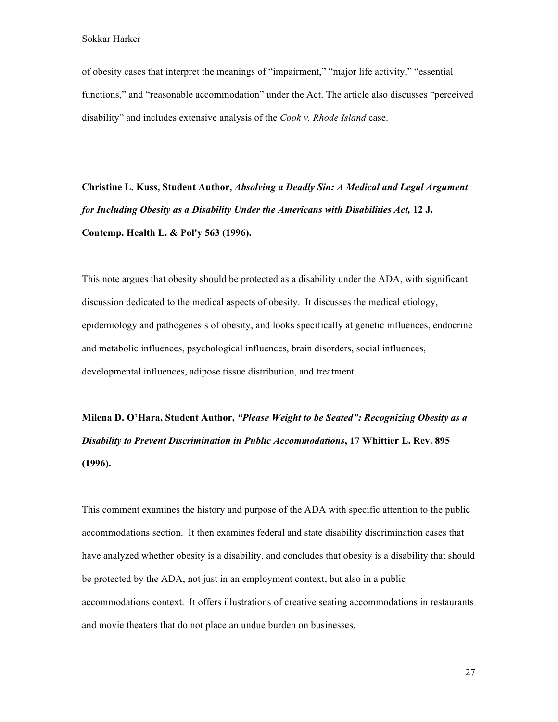of obesity cases that interpret the meanings of "impairment," "major life activity," "essential functions," and "reasonable accommodation" under the Act. The article also discusses "perceived disability" and includes extensive analysis of the *Cook v. Rhode Island* case.

**Christine L. Kuss, Student Author,** *Absolving a Deadly Sin: A Medical and Legal Argument for Including Obesity as a Disability Under the Americans with Disabilities Act,* **12 J. Contemp. Health L. & Pol'y 563 (1996).**

This note argues that obesity should be protected as a disability under the ADA, with significant discussion dedicated to the medical aspects of obesity. It discusses the medical etiology, epidemiology and pathogenesis of obesity, and looks specifically at genetic influences, endocrine and metabolic influences, psychological influences, brain disorders, social influences, developmental influences, adipose tissue distribution, and treatment.

**Milena D. O'Hara, Student Author,** *"Please Weight to be Seated": Recognizing Obesity as a Disability to Prevent Discrimination in Public Accommodations***, 17 Whittier L. Rev. 895 (1996).**

This comment examines the history and purpose of the ADA with specific attention to the public accommodations section. It then examines federal and state disability discrimination cases that have analyzed whether obesity is a disability, and concludes that obesity is a disability that should be protected by the ADA, not just in an employment context, but also in a public accommodations context. It offers illustrations of creative seating accommodations in restaurants and movie theaters that do not place an undue burden on businesses.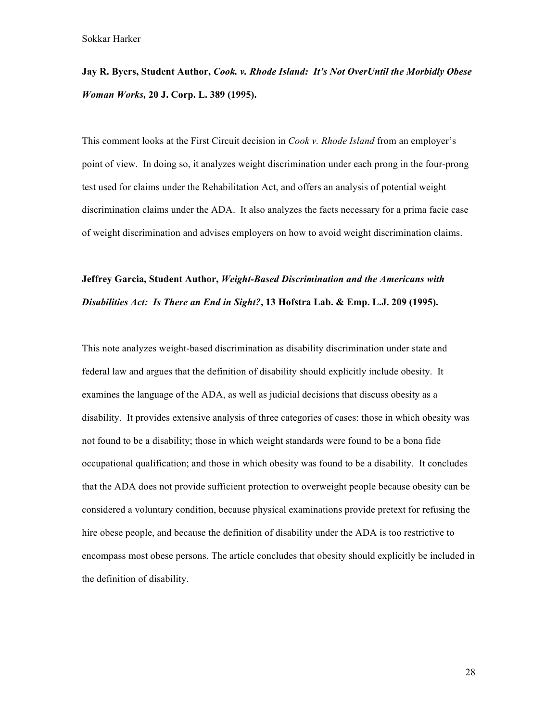**Jay R. Byers, Student Author,** *Cook. v. Rhode Island: It's Not OverUntil the Morbidly Obese Woman Works,* **20 J. Corp. L. 389 (1995).**

This comment looks at the First Circuit decision in *Cook v. Rhode Island* from an employer's point of view. In doing so, it analyzes weight discrimination under each prong in the four-prong test used for claims under the Rehabilitation Act, and offers an analysis of potential weight discrimination claims under the ADA. It also analyzes the facts necessary for a prima facie case of weight discrimination and advises employers on how to avoid weight discrimination claims.

### **Jeffrey Garcia, Student Author,** *Weight-Based Discrimination and the Americans with Disabilities Act: Is There an End in Sight?***, 13 Hofstra Lab. & Emp. L.J. 209 (1995).**

This note analyzes weight-based discrimination as disability discrimination under state and federal law and argues that the definition of disability should explicitly include obesity. It examines the language of the ADA, as well as judicial decisions that discuss obesity as a disability. It provides extensive analysis of three categories of cases: those in which obesity was not found to be a disability; those in which weight standards were found to be a bona fide occupational qualification; and those in which obesity was found to be a disability. It concludes that the ADA does not provide sufficient protection to overweight people because obesity can be considered a voluntary condition, because physical examinations provide pretext for refusing the hire obese people, and because the definition of disability under the ADA is too restrictive to encompass most obese persons. The article concludes that obesity should explicitly be included in the definition of disability.

28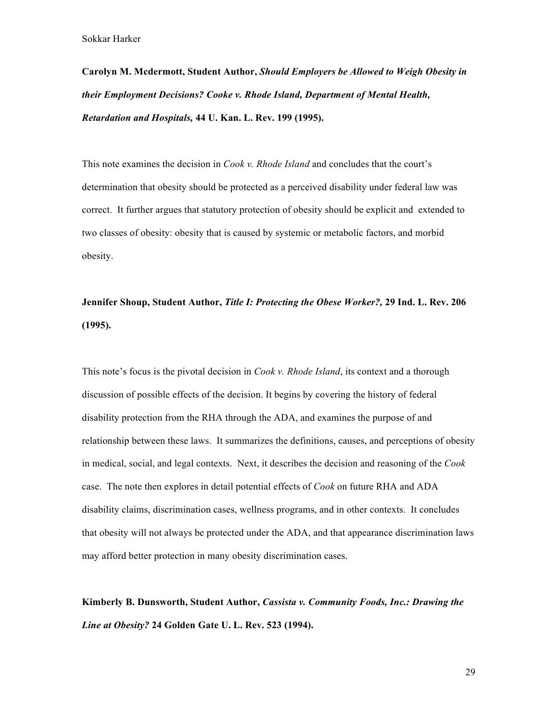**Carolyn M. Mcdermott, Student Author,** *Should Employers be Allowed to Weigh Obesity in their Employment Decisions? Cooke v. Rhode Island, Department of Mental Health, Retardation and Hospitals,* **44 U. Kan. L. Rev. 199 (1995).** 

This note examines the decision in *Cook v. Rhode Island* and concludes that the court's determination that obesity should be protected as a perceived disability under federal law was correct. It further argues that statutory protection of obesity should be explicit and extended to two classes of obesity: obesity that is caused by systemic or metabolic factors, and morbid obesity.

**Jennifer Shoup, Student Author,** *Title I: Protecting the Obese Worker?,* **29 Ind. L. Rev. 206 (1995).**

This note's focus is the pivotal decision in *Cook v. Rhode Island*, its context and a thorough discussion of possible effects of the decision. It begins by covering the history of federal disability protection from the RHA through the ADA, and examines the purpose of and relationship between these laws. It summarizes the definitions, causes, and perceptions of obesity in medical, social, and legal contexts. Next, it describes the decision and reasoning of the *Cook* case. The note then explores in detail potential effects of *Cook* on future RHA and ADA disability claims, discrimination cases, wellness programs, and in other contexts. It concludes that obesity will not always be protected under the ADA, and that appearance discrimination laws may afford better protection in many obesity discrimination cases.

**Kimberly B. Dunsworth, Student Author,** *Cassista v. Community Foods, Inc.: Drawing the Line at Obesity?* **24 Golden Gate U. L. Rev. 523 (1994).**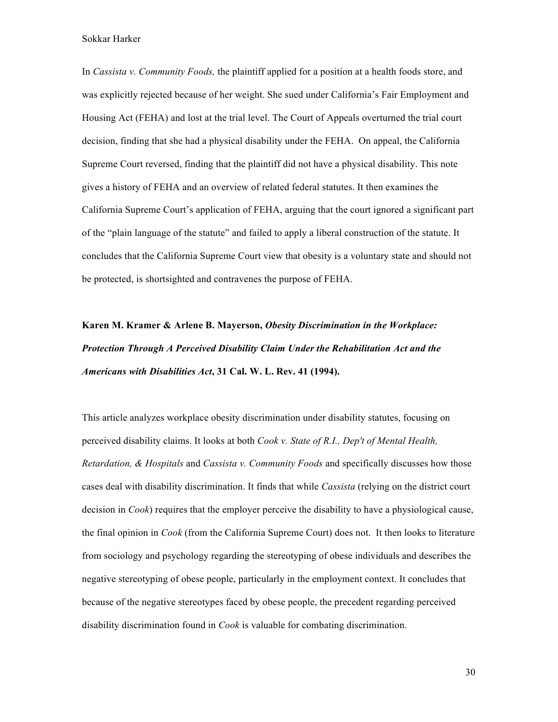In *Cassista v. Community Foods,* the plaintiff applied for a position at a health foods store, and was explicitly rejected because of her weight. She sued under California's Fair Employment and Housing Act (FEHA) and lost at the trial level. The Court of Appeals overturned the trial court decision, finding that she had a physical disability under the FEHA. On appeal, the California Supreme Court reversed, finding that the plaintiff did not have a physical disability. This note gives a history of FEHA and an overview of related federal statutes. It then examines the California Supreme Court's application of FEHA, arguing that the court ignored a significant part of the "plain language of the statute" and failed to apply a liberal construction of the statute. It concludes that the California Supreme Court view that obesity is a voluntary state and should not be protected, is shortsighted and contravenes the purpose of FEHA.

**Karen M. Kramer & Arlene B. Mayerson,** *Obesity Discrimination in the Workplace: Protection Through A Perceived Disability Claim Under the Rehabilitation Act and the Americans with Disabilities Act***, 31 Cal. W. L. Rev. 41 (1994).**

This article analyzes workplace obesity discrimination under disability statutes, focusing on perceived disability claims. It looks at both *Cook v. State of R.I., Dep't of Mental Health, Retardation, & Hospitals* and *Cassista v. Community Foods* and specifically discusses how those cases deal with disability discrimination. It finds that while *Cassista* (relying on the district court decision in *Cook*) requires that the employer perceive the disability to have a physiological cause, the final opinion in *Cook* (from the California Supreme Court) does not. It then looks to literature from sociology and psychology regarding the stereotyping of obese individuals and describes the negative stereotyping of obese people, particularly in the employment context. It concludes that because of the negative stereotypes faced by obese people, the precedent regarding perceived disability discrimination found in *Cook* is valuable for combating discrimination.

30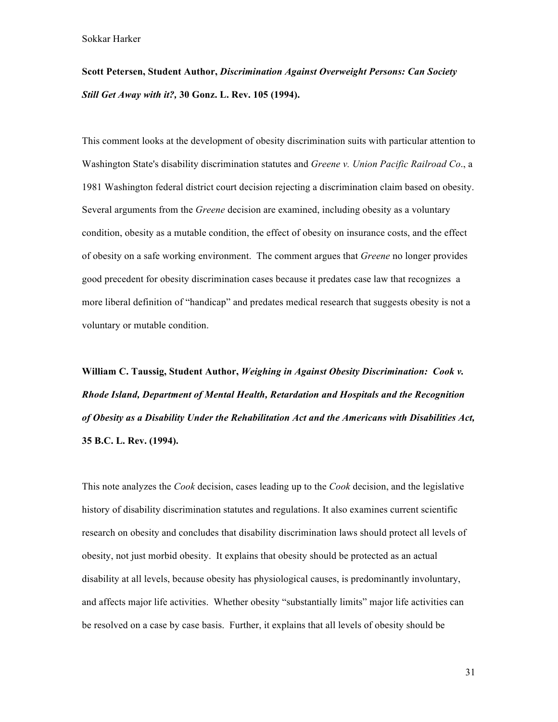**Scott Petersen, Student Author,** *Discrimination Against Overweight Persons: Can Society Still Get Away with it?,* **30 Gonz. L. Rev. 105 (1994).**

This comment looks at the development of obesity discrimination suits with particular attention to Washington State's disability discrimination statutes and *Greene v. Union Pacific Railroad Co*., a 1981 Washington federal district court decision rejecting a discrimination claim based on obesity. Several arguments from the *Greene* decision are examined, including obesity as a voluntary condition, obesity as a mutable condition, the effect of obesity on insurance costs, and the effect of obesity on a safe working environment. The comment argues that *Greene* no longer provides good precedent for obesity discrimination cases because it predates case law that recognizes a more liberal definition of "handicap" and predates medical research that suggests obesity is not a voluntary or mutable condition.

**William C. Taussig, Student Author,** *Weighing in Against Obesity Discrimination: Cook v. Rhode Island, Department of Mental Health, Retardation and Hospitals and the Recognition of Obesity as a Disability Under the Rehabilitation Act and the Americans with Disabilities Act,* **35 B.C. L. Rev. (1994).**

This note analyzes the *Cook* decision, cases leading up to the *Cook* decision, and the legislative history of disability discrimination statutes and regulations. It also examines current scientific research on obesity and concludes that disability discrimination laws should protect all levels of obesity, not just morbid obesity. It explains that obesity should be protected as an actual disability at all levels, because obesity has physiological causes, is predominantly involuntary, and affects major life activities. Whether obesity "substantially limits" major life activities can be resolved on a case by case basis. Further, it explains that all levels of obesity should be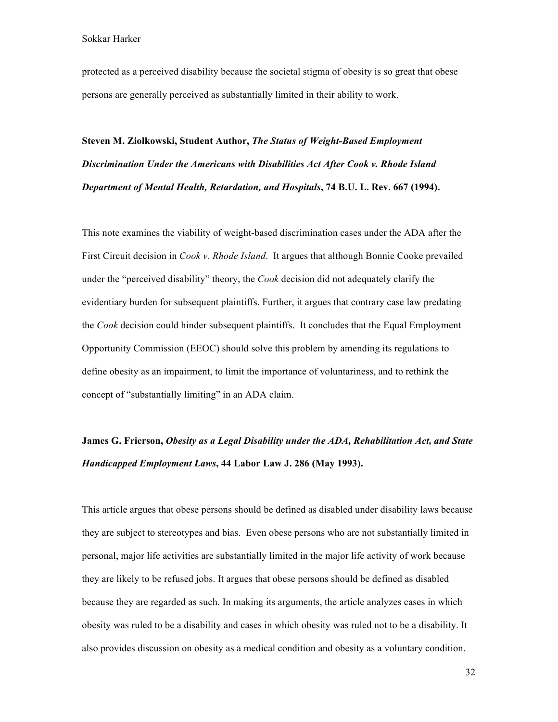protected as a perceived disability because the societal stigma of obesity is so great that obese persons are generally perceived as substantially limited in their ability to work.

# **Steven M. Ziolkowski, Student Author,** *The Status of Weight-Based Employment Discrimination Under the Americans with Disabilities Act After Cook v. Rhode Island Department of Mental Health, Retardation, and Hospitals***, 74 B.U. L. Rev. 667 (1994).**

This note examines the viability of weight-based discrimination cases under the ADA after the First Circuit decision in *Cook v. Rhode Island*. It argues that although Bonnie Cooke prevailed under the "perceived disability" theory, the *Cook* decision did not adequately clarify the evidentiary burden for subsequent plaintiffs. Further, it argues that contrary case law predating the *Cook* decision could hinder subsequent plaintiffs. It concludes that the Equal Employment Opportunity Commission (EEOC) should solve this problem by amending its regulations to define obesity as an impairment, to limit the importance of voluntariness, and to rethink the concept of "substantially limiting" in an ADA claim.

### **James G. Frierson,** *Obesity as a Legal Disability under the ADA, Rehabilitation Act, and State Handicapped Employment Laws***, 44 Labor Law J. 286 (May 1993).**

This article argues that obese persons should be defined as disabled under disability laws because they are subject to stereotypes and bias. Even obese persons who are not substantially limited in personal, major life activities are substantially limited in the major life activity of work because they are likely to be refused jobs. It argues that obese persons should be defined as disabled because they are regarded as such. In making its arguments, the article analyzes cases in which obesity was ruled to be a disability and cases in which obesity was ruled not to be a disability. It also provides discussion on obesity as a medical condition and obesity as a voluntary condition.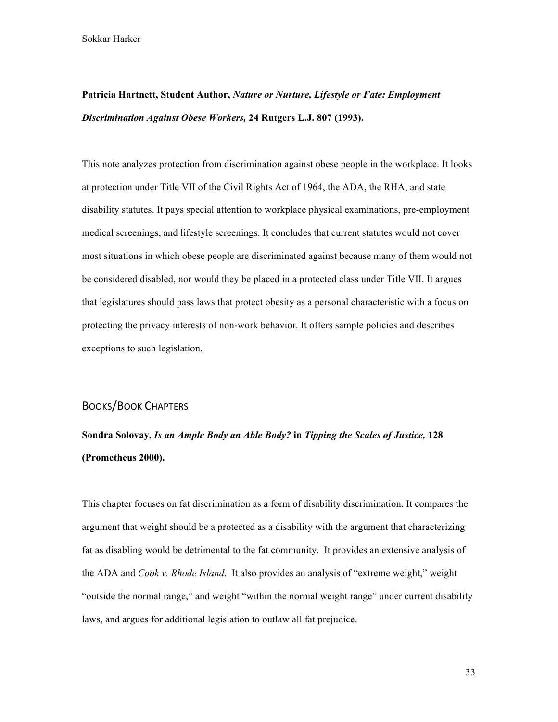### **Patricia Hartnett, Student Author,** *Nature or Nurture, Lifestyle or Fate: Employment Discrimination Against Obese Workers,* **24 Rutgers L.J. 807 (1993).**

This note analyzes protection from discrimination against obese people in the workplace. It looks at protection under Title VII of the Civil Rights Act of 1964, the ADA, the RHA, and state disability statutes. It pays special attention to workplace physical examinations, pre-employment medical screenings, and lifestyle screenings. It concludes that current statutes would not cover most situations in which obese people are discriminated against because many of them would not be considered disabled, nor would they be placed in a protected class under Title VII. It argues that legislatures should pass laws that protect obesity as a personal characteristic with a focus on protecting the privacy interests of non-work behavior. It offers sample policies and describes exceptions to such legislation.

#### BOOKS/BOOK CHAPTERS

### **Sondra Solovay,** *Is an Ample Body an Able Body?* **in** *Tipping the Scales of Justice,* **128 (Prometheus 2000).**

This chapter focuses on fat discrimination as a form of disability discrimination. It compares the argument that weight should be a protected as a disability with the argument that characterizing fat as disabling would be detrimental to the fat community. It provides an extensive analysis of the ADA and *Cook v. Rhode Island*. It also provides an analysis of "extreme weight," weight "outside the normal range," and weight "within the normal weight range" under current disability laws, and argues for additional legislation to outlaw all fat prejudice.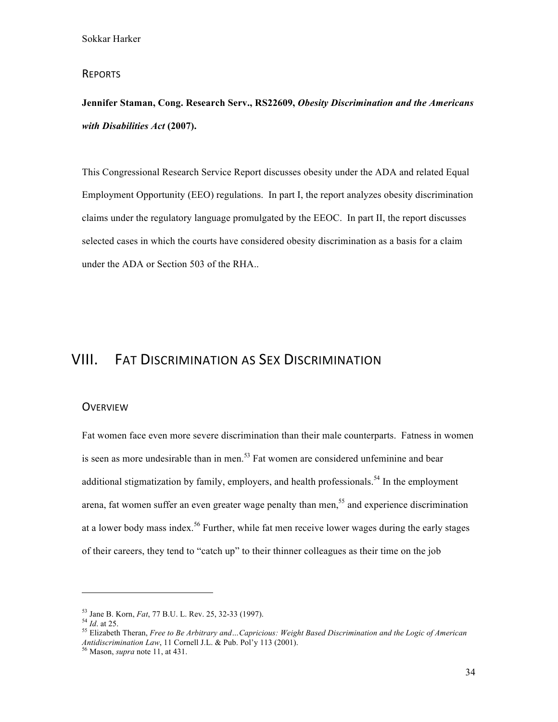#### REPORTS

**Jennifer Staman, Cong. Research Serv., RS22609,** *Obesity Discrimination and the Americans with Disabilities Act* **(2007).**

This Congressional Research Service Report discusses obesity under the ADA and related Equal Employment Opportunity (EEO) regulations. In part I, the report analyzes obesity discrimination claims under the regulatory language promulgated by the EEOC. In part II, the report discusses selected cases in which the courts have considered obesity discrimination as a basis for a claim under the ADA or Section 503 of the RHA..

### VIII. FAT DISCRIMINATION AS SEX DISCRIMINATION

#### **OVERVIEW**

Fat women face even more severe discrimination than their male counterparts. Fatness in women is seen as more undesirable than in men.<sup>53</sup> Fat women are considered unfeminine and bear additional stigmatization by family, employers, and health professionals.<sup>54</sup> In the employment arena, fat women suffer an even greater wage penalty than men, <sup>55</sup> and experience discrimination at a lower body mass index.<sup>56</sup> Further, while fat men receive lower wages during the early stages of their careers, they tend to "catch up" to their thinner colleagues as their time on the job

 $\overline{a}$ 

<sup>&</sup>lt;sup>53</sup> Jane B. Korn, *Fat*, 77 B.U. L. Rev. 25, 32-33 (1997).<br><sup>54</sup> *Id.* at 25.<br><sup>55</sup> Elizabeth Theran, *Free to Be Arbitrary and* … Capricious: Weight Based Discrimination and the Logic of American *Antidiscrimination Law*, 11 Cornell J.L. & Pub. Pol'y 113 (2001). <sup>56</sup> Mason, *supra* note 11, at 431.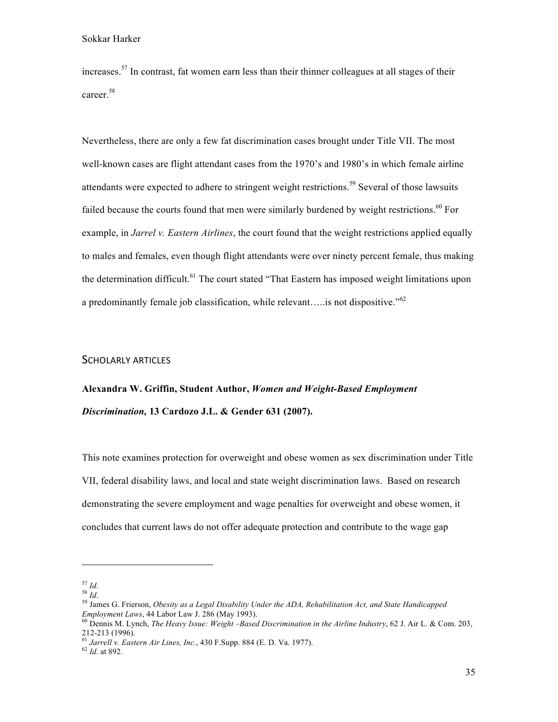increases.<sup>57</sup> In contrast, fat women earn less than their thinner colleagues at all stages of their career.<sup>58</sup>

Nevertheless, there are only a few fat discrimination cases brought under Title VII. The most well-known cases are flight attendant cases from the 1970's and 1980's in which female airline attendants were expected to adhere to stringent weight restrictions.<sup>59</sup> Several of those lawsuits failed because the courts found that men were similarly burdened by weight restrictions.<sup>60</sup> For example, in *Jarrel v. Eastern Airlines*, the court found that the weight restrictions applied equally to males and females, even though flight attendants were over ninety percent female, thus making the determination difficult.<sup>61</sup> The court stated "That Eastern has imposed weight limitations upon a predominantly female job classification, while relevant…..is not dispositive."<sup>62</sup>

#### SCHOLARLY ARTICLES

## **Alexandra W. Griffin, Student Author,** *Women and Weight-Based Employment Discrimination,* **13 Cardozo J.L. & Gender 631 (2007).**

This note examines protection for overweight and obese women as sex discrimination under Title VII, federal disability laws, and local and state weight discrimination laws. Based on research demonstrating the severe employment and wage penalties for overweight and obese women, it concludes that current laws do not offer adequate protection and contribute to the wage gap

<sup>57</sup> *Id*. <sup>58</sup> *Id*. <sup>59</sup> James G. Frierson, *Obesity as a Legal Disability Under the ADA, Rehabilitation Act, and State Handicapped Employment Laws*, 44 Labor Law J. 286 (May 1993).<br><sup>60</sup> Dennis M. Lynch, *The Heavy Issue: Weight –Based Discrimination in the Airline Industry*, 62 J. Air L. & Com. 203,

<sup>212-213 (1996).</sup> <sup>61</sup> *Jarrell v. Eastern Air Lines, Inc.*, 430 F.Supp. 884 (E. D. Va. 1977). 62 *Id.* at 892.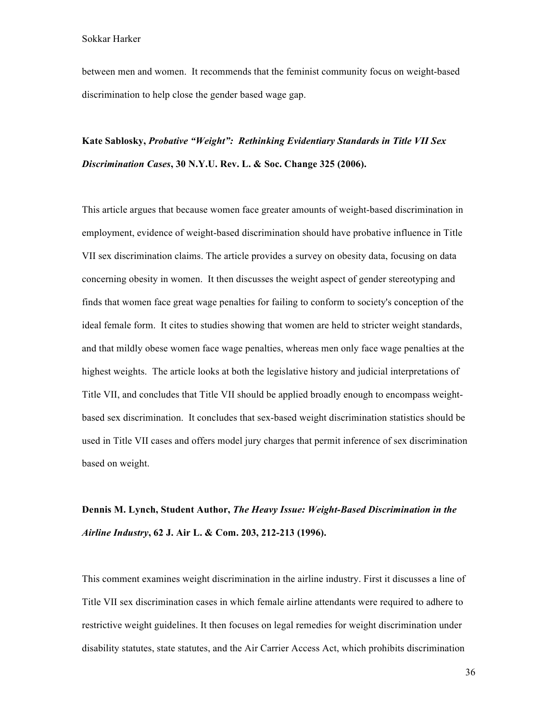between men and women. It recommends that the feminist community focus on weight-based discrimination to help close the gender based wage gap.

### **Kate Sablosky,** *Probative "Weight": Rethinking Evidentiary Standards in Title VII Sex Discrimination Cases***, 30 N.Y.U. Rev. L. & Soc. Change 325 (2006).**

This article argues that because women face greater amounts of weight-based discrimination in employment, evidence of weight-based discrimination should have probative influence in Title VII sex discrimination claims. The article provides a survey on obesity data, focusing on data concerning obesity in women. It then discusses the weight aspect of gender stereotyping and finds that women face great wage penalties for failing to conform to society's conception of the ideal female form. It cites to studies showing that women are held to stricter weight standards, and that mildly obese women face wage penalties, whereas men only face wage penalties at the highest weights. The article looks at both the legislative history and judicial interpretations of Title VII, and concludes that Title VII should be applied broadly enough to encompass weightbased sex discrimination. It concludes that sex-based weight discrimination statistics should be used in Title VII cases and offers model jury charges that permit inference of sex discrimination based on weight.

### **Dennis M. Lynch, Student Author,** *The Heavy Issue: Weight-Based Discrimination in the Airline Industry***, 62 J. Air L. & Com. 203, 212-213 (1996).**

This comment examines weight discrimination in the airline industry. First it discusses a line of Title VII sex discrimination cases in which female airline attendants were required to adhere to restrictive weight guidelines. It then focuses on legal remedies for weight discrimination under disability statutes, state statutes, and the Air Carrier Access Act, which prohibits discrimination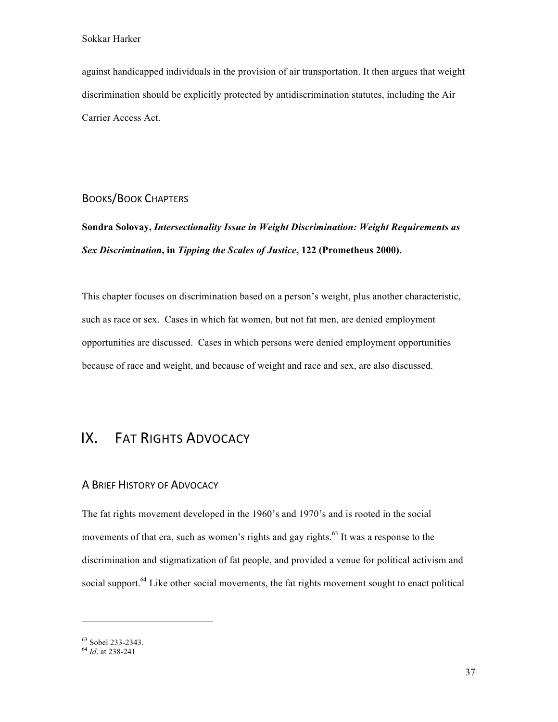against handicapped individuals in the provision of air transportation. It then argues that weight discrimination should be explicitly protected by antidiscrimination statutes, including the Air Carrier Access Act.

#### BOOKS/BOOK CHAPTERS

# **Sondra Solovay,** *Intersectionality Issue in Weight Discrimination: Weight Requirements as Sex Discrimination***, in** *Tipping the Scales of Justice***, 122 (Prometheus 2000).**

This chapter focuses on discrimination based on a person's weight, plus another characteristic, such as race or sex. Cases in which fat women, but not fat men, are denied employment opportunities are discussed. Cases in which persons were denied employment opportunities because of race and weight, and because of weight and race and sex, are also discussed.

### IX. FAT RIGHTS ADVOCACY

#### **A BRIEF HISTORY OF ADVOCACY**

The fat rights movement developed in the 1960's and 1970's and is rooted in the social movements of that era, such as women's rights and gay rights.<sup>63</sup> It was a response to the discrimination and stigmatization of fat people, and provided a venue for political activism and social support.<sup>64</sup> Like other social movements, the fat rights movement sought to enact political

<sup>63</sup> Sobel 233-2343. <sup>64</sup> *Id*. at 238-241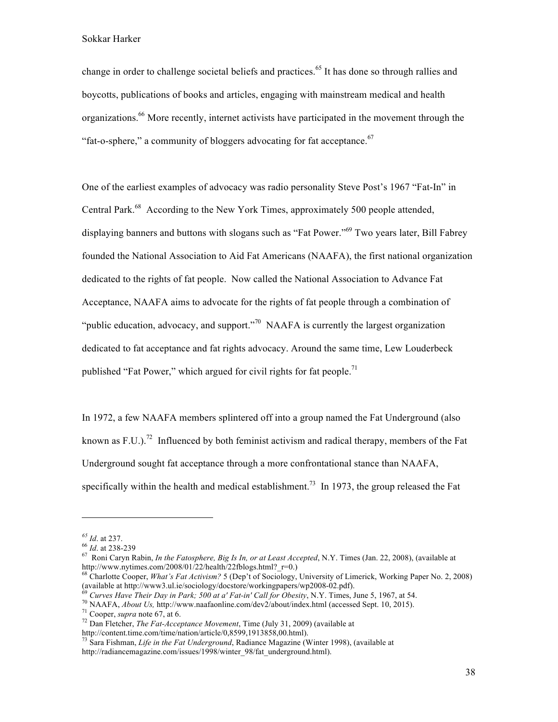change in order to challenge societal beliefs and practices.<sup>65</sup> It has done so through rallies and boycotts, publications of books and articles, engaging with mainstream medical and health organizations.<sup>66</sup> More recently, internet activists have participated in the movement through the "fat-o-sphere," a community of bloggers advocating for fat acceptance. $67$ 

One of the earliest examples of advocacy was radio personality Steve Post's 1967 "Fat-In" in Central Park.<sup>68</sup> According to the New York Times, approximately 500 people attended, displaying banners and buttons with slogans such as "Fat Power." <sup>69</sup> Two years later, Bill Fabrey founded the National Association to Aid Fat Americans (NAAFA), the first national organization dedicated to the rights of fat people. Now called the National Association to Advance Fat Acceptance, NAAFA aims to advocate for the rights of fat people through a combination of "public education, advocacy, and support."<sup>70</sup> NAAFA is currently the largest organization dedicated to fat acceptance and fat rights advocacy. Around the same time, Lew Louderbeck published "Fat Power," which argued for civil rights for fat people.<sup>71</sup>

In 1972, a few NAAFA members splintered off into a group named the Fat Underground (also known as  $F.U.$ ).<sup>72</sup> Influenced by both feminist activism and radical therapy, members of the Fat Underground sought fat acceptance through a more confrontational stance than NAAFA, specifically within the health and medical establishment.<sup>73</sup> In 1973, the group released the Fat

<sup>&</sup>lt;sup>65</sup> *Id.* at 237.<br><sup>66</sup> *Id.* at 238-239<br><sup>67</sup> Roni Caryn Rabin, *In the Fatosphere, Big Is In, or at Least Accepted*, N.Y. Times (Jan. 22, 2008), (available at http://www.nytimes.com/2008/01/22/health/22fblogs.html?\_r=0.) 68 Charlotte Cooper, *What's Fat Activism?* 5 (Dep't of Sociology, University of Limerick, Working Paper No. 2, 2008)

<sup>(</sup>available at http://www3.ul.ie/sociology/docstore/workingpapers/wp2008-02.pdf).<br>
<sup>69</sup> Curves Have Their Day in Park; 500 at a' Fat-in' Call for Obesity, N.Y. Times, June 5, 1967, at 54.<br>
<sup>70</sup> NAAFA, *About Us*, http://ww

<sup>&</sup>lt;sup>73</sup> Sara Fishman, *Life in the Fat Underground*, Radiance Magazine (Winter 1998), (available at http://radiancemagazine.com/issues/1998/winter\_98/fat\_underground.html).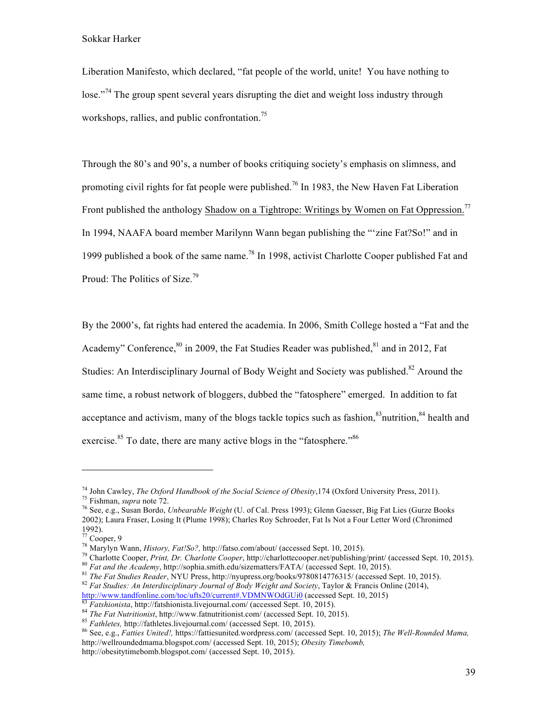Liberation Manifesto, which declared, "fat people of the world, unite! You have nothing to lose."<sup>74</sup> The group spent several years disrupting the diet and weight loss industry through workshops, rallies, and public confrontation.<sup>75</sup>

Through the 80's and 90's, a number of books critiquing society's emphasis on slimness, and promoting civil rights for fat people were published.<sup>76</sup> In 1983, the New Haven Fat Liberation Front published the anthology Shadow on a Tightrope: Writings by Women on Fat Oppression.<sup>77</sup> In 1994, NAAFA board member Marilynn Wann began publishing the "'zine Fat?So!" and in 1999 published a book of the same name.<sup>78</sup> In 1998, activist Charlotte Cooper published Fat and Proud: The Politics of Size.<sup>79</sup>

By the 2000's, fat rights had entered the academia. In 2006, Smith College hosted a "Fat and the Academy" Conference, <sup>80</sup> in 2009, the Fat Studies Reader was published, <sup>81</sup> and in 2012, Fat Studies: An Interdisciplinary Journal of Body Weight and Society was published.<sup>82</sup> Around the same time, a robust network of bloggers, dubbed the "fatosphere" emerged. In addition to fat acceptance and activism, many of the blogs tackle topics such as fashion,  $83\text{$  nutrition,  $84\text{}$  health and exercise.<sup>85</sup> To date, there are many active blogs in the "fatosphere."<sup>86</sup>

 $\overline{a}$ 

<sup>&</sup>lt;sup>74</sup> John Cawley, *The Oxford Handbook of the Social Science of Obesity*, 174 (Oxford University Press, 2011).<br><sup>75</sup> Fishman, *supra* note 72.<br><sup>76</sup> See, e.g., Susan Bordo, *Unbearable Weight* (U. of Cal. Press 1993); Glenn

<sup>2002);</sup> Laura Fraser, Losing It (Plume 1998); Charles Roy Schroeder, Fat Is Not a Four Letter Word (Chronimed 1992).<br> $^{77}$  Cooper, 9

<sup>&</sup>lt;sup>78</sup> Marylyn Wann, *History, Fat!So?*, http://fatso.com/about/ (accessed Sept. 10, 2015).<br><sup>79</sup> Charlotte Cooper, *Print, Dr. Charlotte Cooper*, http://charlottecooper.net/publishing/print/ (accessed Sept. 10, 2015).<br><sup>80</sup>

<sup>&</sup>lt;sup>83</sup> Fatshionista, http://fatshionista.livejournal.com/ (accessed Sept. 10, 2015).<br><sup>84</sup> The Fat Nutritionist, http://www.fatnutritionist.com/ (accessed Sept. 10, 2015).<br><sup>85</sup> Fathletes, http://fathletes.livejournal.com/ (a http://wellroundedmama.blogspot.com/ (accessed Sept. 10, 2015); *Obesity Timebomb,* http://obesitytimebomb.blogspot.com/ (accessed Sept. 10, 2015).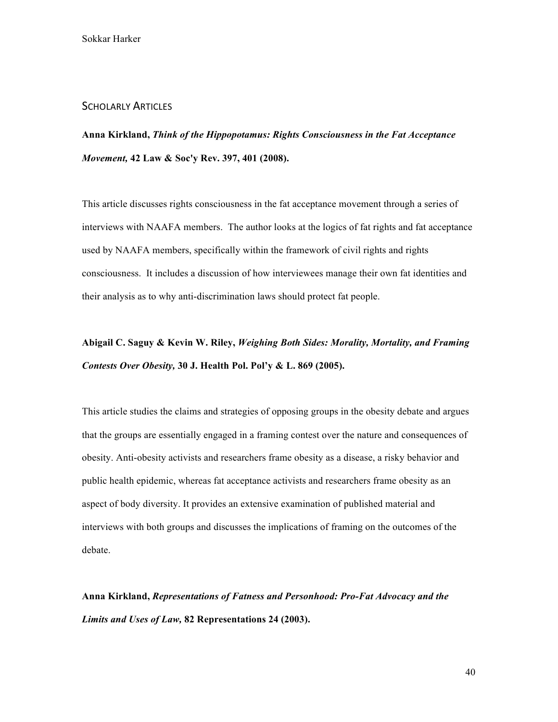#### **SCHOLARLY ARTICLES**

**Anna Kirkland,** *Think of the Hippopotamus: Rights Consciousness in the Fat Acceptance Movement,* **42 Law & Soc'y Rev. 397, 401 (2008).**

This article discusses rights consciousness in the fat acceptance movement through a series of interviews with NAAFA members. The author looks at the logics of fat rights and fat acceptance used by NAAFA members, specifically within the framework of civil rights and rights consciousness. It includes a discussion of how interviewees manage their own fat identities and their analysis as to why anti-discrimination laws should protect fat people.

# **Abigail C. Saguy & Kevin W. Riley,** *Weighing Both Sides: Morality, Mortality, and Framing Contests Over Obesity,* **30 J. Health Pol. Pol'y & L. 869 (2005).**

This article studies the claims and strategies of opposing groups in the obesity debate and argues that the groups are essentially engaged in a framing contest over the nature and consequences of obesity. Anti-obesity activists and researchers frame obesity as a disease, a risky behavior and public health epidemic, whereas fat acceptance activists and researchers frame obesity as an aspect of body diversity. It provides an extensive examination of published material and interviews with both groups and discusses the implications of framing on the outcomes of the debate.

**Anna Kirkland,** *Representations of Fatness and Personhood: Pro-Fat Advocacy and the Limits and Uses of Law,* **82 Representations 24 (2003).**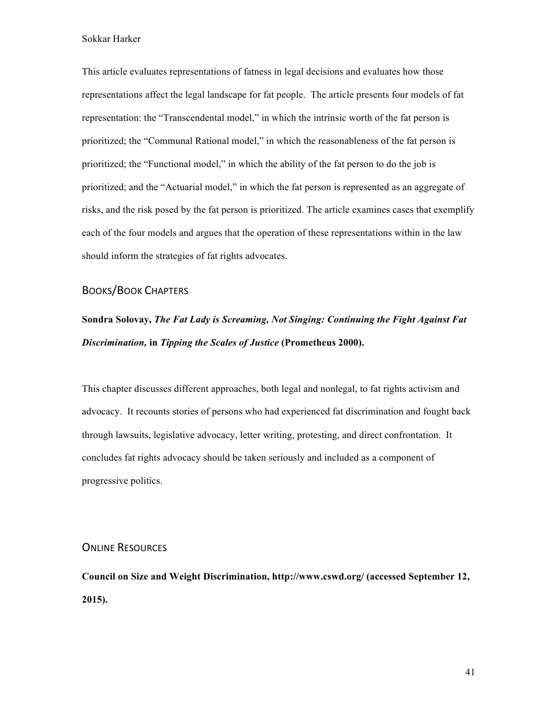This article evaluates representations of fatness in legal decisions and evaluates how those representations affect the legal landscape for fat people. The article presents four models of fat representation: the "Transcendental model," in which the intrinsic worth of the fat person is prioritized; the "Communal Rational model," in which the reasonableness of the fat person is prioritized; the "Functional model," in which the ability of the fat person to do the job is prioritized; and the "Actuarial model," in which the fat person is represented as an aggregate of risks, and the risk posed by the fat person is prioritized. The article examines cases that exemplify each of the four models and argues that the operation of these representations within in the law should inform the strategies of fat rights advocates.

#### BOOKS/BOOK CHAPTERS

**Sondra Solovay,** *The Fat Lady is Screaming, Not Singing: Continuing the Fight Against Fat Discrimination,* **in** *Tipping the Scales of Justice* **(Prometheus 2000).**

This chapter discusses different approaches, both legal and nonlegal, to fat rights activism and advocacy. It recounts stories of persons who had experienced fat discrimination and fought back through lawsuits, legislative advocacy, letter writing, protesting, and direct confrontation. It concludes fat rights advocacy should be taken seriously and included as a component of progressive politics.

#### **ONLINE RESOURCES**

**Council on Size and Weight Discrimination, http://www.cswd.org/ (accessed September 12, 2015).**